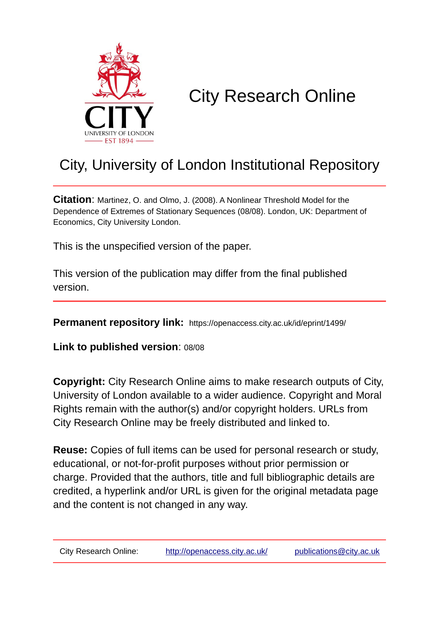

# City Research Online

# City, University of London Institutional Repository

**Citation**: Martinez, O. and Olmo, J. (2008). A Nonlinear Threshold Model for the Dependence of Extremes of Stationary Sequences (08/08). London, UK: Department of Economics, City University London.

This is the unspecified version of the paper.

This version of the publication may differ from the final published version.

**Permanent repository link:** https://openaccess.city.ac.uk/id/eprint/1499/

**Link to published version**: 08/08

**Copyright:** City Research Online aims to make research outputs of City, University of London available to a wider audience. Copyright and Moral Rights remain with the author(s) and/or copyright holders. URLs from City Research Online may be freely distributed and linked to.

**Reuse:** Copies of full items can be used for personal research or study, educational, or not-for-profit purposes without prior permission or charge. Provided that the authors, title and full bibliographic details are credited, a hyperlink and/or URL is given for the original metadata page and the content is not changed in any way.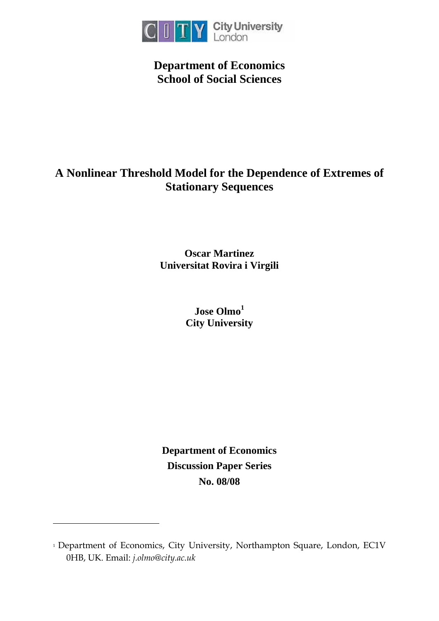

## **Department of Economics School of Social Sciences**

## **A Nonlinear Threshold Model for the Dependence of Extremes of Stationary Sequences**

**Oscar Martinez Universitat Rovira i Virgili** 

> **Jose Olmo<sup>1</sup> City University**

**Department of Economics Discussion Paper Series No. 08/08**

-

<sup>&</sup>lt;sup>1</sup> Department of Economics, City University, Northampton Square, London, EC1V 0HB, UK. Email: *j.olmo@city.ac.uk*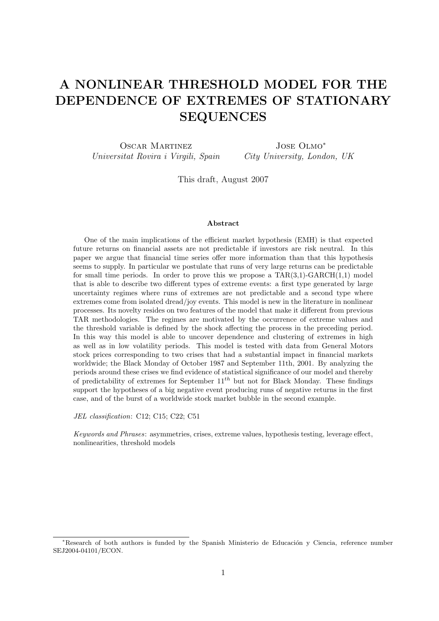# A NONLINEAR THRESHOLD MODEL FOR THE DEPENDENCE OF EXTREMES OF STATIONARY SEQUENCES

Oscar Martinez Universitat Rovira i Virgili, Spain Jose Olmo<sup>∗</sup> City University, London, UK

This draft, August 2007

#### Abstract

One of the main implications of the efficient market hypothesis (EMH) is that expected future returns on financial assets are not predictable if investors are risk neutral. In this paper we argue that financial time series offer more information than that this hypothesis seems to supply. In particular we postulate that runs of very large returns can be predictable for small time periods. In order to prove this we propose a  $TAR(3,1)$ -GARCH $(1,1)$  model that is able to describe two different types of extreme events: a first type generated by large uncertainty regimes where runs of extremes are not predictable and a second type where extremes come from isolated dread/joy events. This model is new in the literature in nonlinear processes. Its novelty resides on two features of the model that make it different from previous TAR methodologies. The regimes are motivated by the occurrence of extreme values and the threshold variable is defined by the shock affecting the process in the preceding period. In this way this model is able to uncover dependence and clustering of extremes in high as well as in low volatility periods. This model is tested with data from General Motors stock prices corresponding to two crises that had a substantial impact in financial markets worldwide; the Black Monday of October 1987 and September 11th, 2001. By analyzing the periods around these crises we find evidence of statistical significance of our model and thereby of predictability of extremes for September  $11^{th}$  but not for Black Monday. These findings support the hypotheses of a big negative event producing runs of negative returns in the first case, and of the burst of a worldwide stock market bubble in the second example.

JEL classification: C12; C15; C22; C51

Keywords and Phrases: asymmetries, crises, extreme values, hypothesis testing, leverage effect, nonlinearities, threshold models

<sup>\*</sup>Research of both authors is funded by the Spanish Ministerio de Educación y Ciencia, reference number SEJ2004-04101/ECON.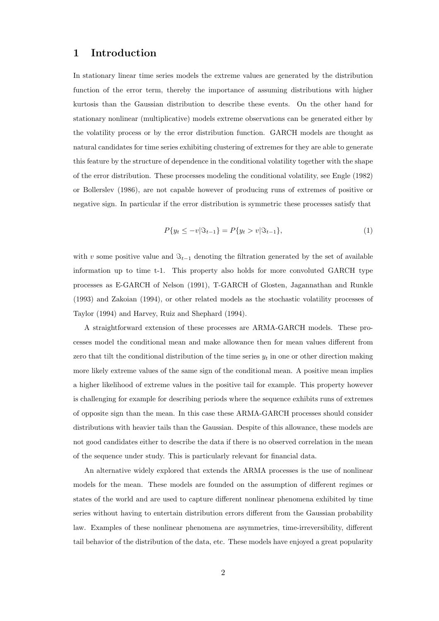### 1 Introduction

In stationary linear time series models the extreme values are generated by the distribution function of the error term, thereby the importance of assuming distributions with higher kurtosis than the Gaussian distribution to describe these events. On the other hand for stationary nonlinear (multiplicative) models extreme observations can be generated either by the volatility process or by the error distribution function. GARCH models are thought as natural candidates for time series exhibiting clustering of extremes for they are able to generate this feature by the structure of dependence in the conditional volatility together with the shape of the error distribution. These processes modeling the conditional volatility, see Engle (1982) or Bollerslev (1986), are not capable however of producing runs of extremes of positive or negative sign. In particular if the error distribution is symmetric these processes satisfy that

$$
P\{y_t \le -v|\Im_{t-1}\} = P\{y_t > v|\Im_{t-1}\},\tag{1}
$$

with v some positive value and  $\mathcal{F}_{t-1}$  denoting the filtration generated by the set of available information up to time t-1. This property also holds for more convoluted GARCH type processes as E-GARCH of Nelson (1991), T-GARCH of Glosten, Jagannathan and Runkle (1993) and Zakoian (1994), or other related models as the stochastic volatility processes of Taylor (1994) and Harvey, Ruiz and Shephard (1994).

A straightforward extension of these processes are ARMA-GARCH models. These processes model the conditional mean and make allowance then for mean values different from zero that tilt the conditional distribution of the time series  $y_t$  in one or other direction making more likely extreme values of the same sign of the conditional mean. A positive mean implies a higher likelihood of extreme values in the positive tail for example. This property however is challenging for example for describing periods where the sequence exhibits runs of extremes of opposite sign than the mean. In this case these ARMA-GARCH processes should consider distributions with heavier tails than the Gaussian. Despite of this allowance, these models are not good candidates either to describe the data if there is no observed correlation in the mean of the sequence under study. This is particularly relevant for financial data.

An alternative widely explored that extends the ARMA processes is the use of nonlinear models for the mean. These models are founded on the assumption of different regimes or states of the world and are used to capture different nonlinear phenomena exhibited by time series without having to entertain distribution errors different from the Gaussian probability law. Examples of these nonlinear phenomena are asymmetries, time-irreversibility, different tail behavior of the distribution of the data, etc. These models have enjoyed a great popularity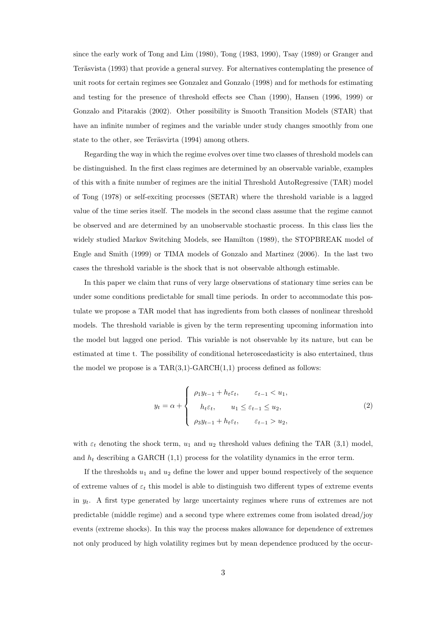since the early work of Tong and Lim (1980), Tong (1983, 1990), Tsay (1989) or Granger and Teräsvista (1993) that provide a general survey. For alternatives contemplating the presence of unit roots for certain regimes see Gonzalez and Gonzalo (1998) and for methods for estimating and testing for the presence of threshold effects see Chan (1990), Hansen (1996, 1999) or Gonzalo and Pitarakis (2002). Other possibility is Smooth Transition Models (STAR) that have an infinite number of regimes and the variable under study changes smoothly from one state to the other, see Teräsvirta (1994) among others.

Regarding the way in which the regime evolves over time two classes of threshold models can be distinguished. In the first class regimes are determined by an observable variable, examples of this with a finite number of regimes are the initial Threshold AutoRegressive (TAR) model of Tong (1978) or self-exciting processes (SETAR) where the threshold variable is a lagged value of the time series itself. The models in the second class assume that the regime cannot be observed and are determined by an unobservable stochastic process. In this class lies the widely studied Markov Switching Models, see Hamilton (1989), the STOPBREAK model of Engle and Smith (1999) or TIMA models of Gonzalo and Martinez (2006). In the last two cases the threshold variable is the shock that is not observable although estimable.

In this paper we claim that runs of very large observations of stationary time series can be under some conditions predictable for small time periods. In order to accommodate this postulate we propose a TAR model that has ingredients from both classes of nonlinear threshold models. The threshold variable is given by the term representing upcoming information into the model but lagged one period. This variable is not observable by its nature, but can be estimated at time t. The possibility of conditional heteroscedasticity is also entertained, thus the model we propose is a  $TAR(3,1)-GARCH(1,1)$  process defined as follows:

$$
y_t = \alpha + \begin{cases} \rho_1 y_{t-1} + h_t \varepsilon_t, & \varepsilon_{t-1} < u_1, \\ h_t \varepsilon_t, & u_1 \le \varepsilon_{t-1} \le u_2, \\ \rho_3 y_{t-1} + h_t \varepsilon_t, & \varepsilon_{t-1} > u_2, \end{cases} \tag{2}
$$

with  $\varepsilon_t$  denoting the shock term,  $u_1$  and  $u_2$  threshold values defining the TAR (3,1) model, and  $h_t$  describing a GARCH (1,1) process for the volatility dynamics in the error term.

If the thresholds  $u_1$  and  $u_2$  define the lower and upper bound respectively of the sequence of extreme values of  $\varepsilon_t$  this model is able to distinguish two different types of extreme events in  $y_t$ . A first type generated by large uncertainty regimes where runs of extremes are not predictable (middle regime) and a second type where extremes come from isolated dread/joy events (extreme shocks). In this way the process makes allowance for dependence of extremes not only produced by high volatility regimes but by mean dependence produced by the occur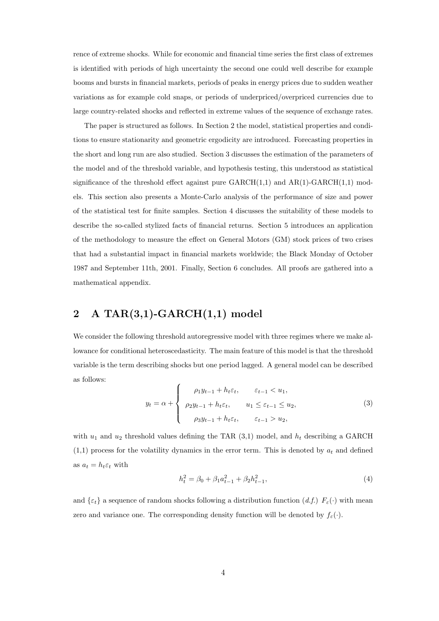rence of extreme shocks. While for economic and financial time series the first class of extremes is identified with periods of high uncertainty the second one could well describe for example booms and bursts in financial markets, periods of peaks in energy prices due to sudden weather variations as for example cold snaps, or periods of underpriced/overpriced currencies due to large country-related shocks and reflected in extreme values of the sequence of exchange rates.

The paper is structured as follows. In Section 2 the model, statistical properties and conditions to ensure stationarity and geometric ergodicity are introduced. Forecasting properties in the short and long run are also studied. Section 3 discusses the estimation of the parameters of the model and of the threshold variable, and hypothesis testing, this understood as statistical significance of the threshold effect against pure  $GARCH(1,1)$  and  $AR(1)-GARCH(1,1)$  models. This section also presents a Monte-Carlo analysis of the performance of size and power of the statistical test for finite samples. Section 4 discusses the suitability of these models to describe the so-called stylized facts of financial returns. Section 5 introduces an application of the methodology to measure the effect on General Motors (GM) stock prices of two crises that had a substantial impact in financial markets worldwide; the Black Monday of October 1987 and September 11th, 2001. Finally, Section 6 concludes. All proofs are gathered into a mathematical appendix.

## 2 A TAR $(3,1)$ -GARCH $(1,1)$  model

We consider the following threshold autoregressive model with three regimes where we make allowance for conditional heteroscedasticity. The main feature of this model is that the threshold variable is the term describing shocks but one period lagged. A general model can be described as follows:  $\overline{a}$ 

$$
y_t = \alpha + \begin{cases} \rho_1 y_{t-1} + h_t \varepsilon_t, & \varepsilon_{t-1} < u_1, \\ \rho_2 y_{t-1} + h_t \varepsilon_t, & u_1 \leq \varepsilon_{t-1} \leq u_2, \\ \rho_3 y_{t-1} + h_t \varepsilon_t, & \varepsilon_{t-1} > u_2, \end{cases} \tag{3}
$$

with  $u_1$  and  $u_2$  threshold values defining the TAR (3,1) model, and  $h_t$  describing a GARCH  $(1,1)$  process for the volatility dynamics in the error term. This is denoted by  $a_t$  and defined as  $a_t = h_t \varepsilon_t$  with

$$
h_t^2 = \beta_0 + \beta_1 a_{t-1}^2 + \beta_2 h_{t-1}^2,\tag{4}
$$

and  $\{\varepsilon_t\}$  a sequence of random shocks following a distribution function  $(d.f.)$   $F_{\varepsilon}(\cdot)$  with mean zero and variance one. The corresponding density function will be denoted by  $f_{\varepsilon}(\cdot)$ .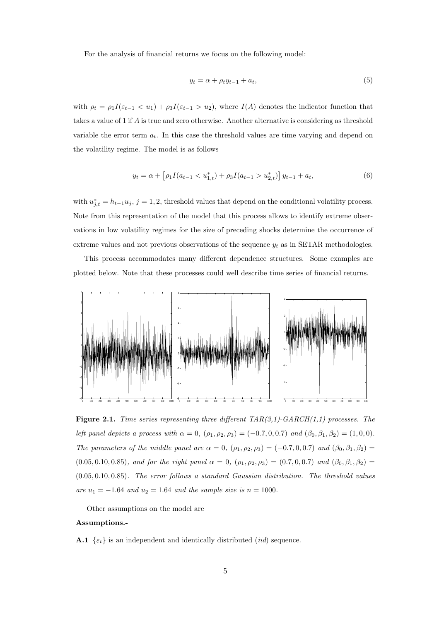For the analysis of financial returns we focus on the following model:

$$
y_t = \alpha + \rho_t y_{t-1} + a_t,\tag{5}
$$

with  $\rho_t = \rho_1 I(\varepsilon_{t-1} < u_1) + \rho_3 I(\varepsilon_{t-1} > u_2)$ , where  $I(A)$  denotes the indicator function that takes a value of 1 if A is true and zero otherwise. Another alternative is considering as threshold variable the error term  $a_t$ . In this case the threshold values are time varying and depend on the volatility regime. The model is as follows

$$
y_t = \alpha + \left[\rho_1 I(a_{t-1} < u_{1,t}^*) + \rho_3 I(a_{t-1} > u_{2,t}^*)\right] y_{t-1} + a_t,\tag{6}
$$

with  $u_{j,t}^* = h_{t-1}u_j$ ,  $j = 1, 2$ , threshold values that depend on the conditional volatility process. Note from this representation of the model that this process allows to identify extreme observations in low volatility regimes for the size of preceding shocks determine the occurrence of extreme values and not previous observations of the sequence  $y_t$  as in SETAR methodologies.

This process accommodates many different dependence structures. Some examples are plotted below. Note that these processes could well describe time series of financial returns.



**Figure 2.1.** Time series representing three different  $TAR(3,1)-GARCH(1,1)$  processes. The left panel depicts a process with  $\alpha = 0$ ,  $(\rho_1, \rho_2, \rho_3) = (-0.7, 0, 0.7)$  and  $(\beta_0, \beta_1, \beta_2) = (1, 0, 0)$ . The parameters of the middle panel are  $\alpha = 0$ ,  $(\rho_1, \rho_2, \rho_3) = (-0.7, 0, 0.7)$  and  $(\beta_0, \beta_1, \beta_2) =$ (0.05, 0.10, 0.85), and for the right panel  $\alpha = 0$ ,  $(\rho_1, \rho_2, \rho_3) = (0.7, 0, 0.7)$  and  $(\beta_0, \beta_1, \beta_2) =$ (0.05, 0.10, 0.85). The error follows a standard Gaussian distribution. The threshold values are  $u_1 = -1.64$  and  $u_2 = 1.64$  and the sample size is  $n = 1000$ .

Other assumptions on the model are

#### Assumptions.-

**A.1**  $\{\varepsilon_t\}$  is an independent and identically distributed *(iid)* sequence.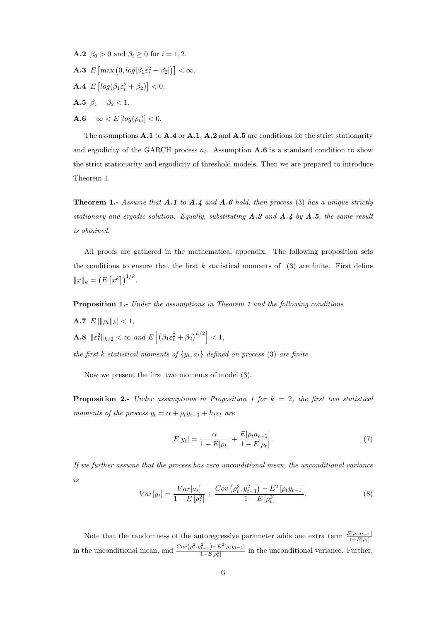- **A.2**  $\beta_0 > 0$  and  $\beta_i \geq 0$  for  $i = 1, 2$ .
- A.3 E  $\left[\max(0, log|\beta_1 \varepsilon_t^2 + \beta_2|)\right] < \infty.$
- A.4 E £  $log(\beta_1 \varepsilon_t^2 + \beta_2)$ ¤  $< 0.$
- **A.5**  $\beta_1 + \beta_2 < 1$ .
- $\mathbf{A.6}$  – $\infty$  <  $E$  [log( $\rho_t$ )] < 0.

The assumptions  $A.1$  to  $A.4$  or  $A.1$ ,  $A.2$  and  $A.5$  are conditions for the strict stationarity and ergodicity of the GARCH process  $a_t$ . Assumption **A.6** is a standard condition to show the strict stationarity and ergodicity of threshold models. Then we are prepared to introduce Theorem 1.

**Theorem 1.-** Assume that  $A.1$  to  $A.4$  and  $A.6$  hold, then process (3) has a unique strictly stationary and ergodic solution. Equally, substituting  $A.3$  and  $A.4$  by  $A.5$ , the same result is obtained.

All proofs are gathered in the mathematical appendix. The following proposition sets the conditions to ensure that the first  $k$  statistical moments of  $(3)$  are finite. First define  $||x||_k =$ ¡ E £  $\left[x^k\right]$ )<sup> $1/k$ </sup>.

Proposition 1.- Under the assumptions in Theorem 1 and the following conditions

**A.7**  $E[\|\rho_t\|_k] < 1$ , **A.8**  $\|\varepsilon_t^2\|_{k/2} < \infty$  and E  $\overline{h}$  $\beta_1 \varepsilon_t^2 + \beta_2$  $\left\lfloor k/2 \right\rceil$  $< 1,$ 

the first k statistical moments of  $\{y_t, a_t\}$  defined on process (3) are finite.

Now we present the first two moments of model (3).

**Proposition 2.-** Under assumptions in Proposition 1 for  $k = 2$ , the first two statistical moments of the process  $y_t = \alpha + \rho_t y_{t-1} + h_t \varepsilon_t$  are

$$
E[y_t] = \frac{\alpha}{1 - E[\rho_t]} + \frac{E[\rho_t a_{t-1}]}{1 - E[\rho_t]}.
$$
\n(7)

If we further assume that the process has zero unconditional mean, the unconditional variance is ¢

$$
Var[y_t] = \frac{Var[a_t]}{1 - E[\rho_t^2]} + \frac{Cov(\rho_t^2, y_{t-1}^2) - E^2[\rho_t y_{t-1}]}{1 - E[\rho_t^2]}.
$$
\n(8)

Note that the randomness of the autoregressive parameter adds one extra term  $\frac{E[\rho_t a_{t-1}]}{1 - E[\rho_t]}$ in the unconditional mean, and  $\frac{Cov(\rho_t^2, y_{t-1}^2) - E^2[\rho_t y_{t-1}]}{1 - E[\rho_t^2]}$  $\frac{(t-1)^{-D} \left[p_t y_{t-1}\right]}{1-E[\rho_t^2]}$  in the unconditional variance. Further,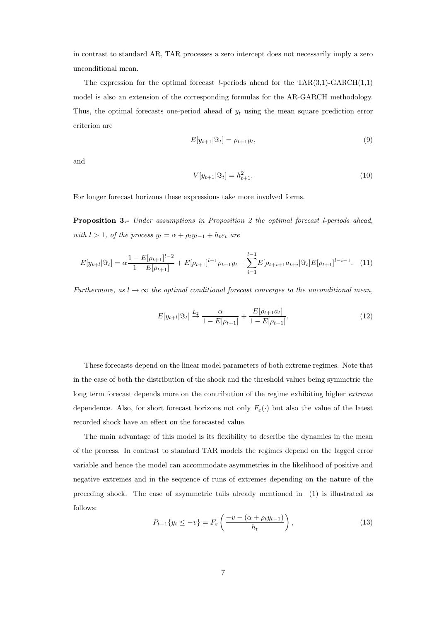in contrast to standard AR, TAR processes a zero intercept does not necessarily imply a zero unconditional mean.

The expression for the optimal forecast l-periods ahead for the  $TAR(3,1)$ -GARCH $(1,1)$ model is also an extension of the corresponding formulas for the AR-GARCH methodology. Thus, the optimal forecasts one-period ahead of  $y_t$  using the mean square prediction error criterion are

$$
E[y_{t+1}|\Im_t] = \rho_{t+1}y_t,\tag{9}
$$

and

$$
V[y_{t+1}|\Im_t] = h_{t+1}^2.
$$
\n(10)

For longer forecast horizons these expressions take more involved forms.

Proposition 3.- Under assumptions in Proposition 2 the optimal forecast l-periods ahead, with l > 1, of the process  $y_t = \alpha + \rho_t y_{t-1} + h_t \varepsilon_t$  are

$$
E[y_{t+l}|\Im_t] = \alpha \frac{1 - E[\rho_{t+1}]^{l-2}}{1 - E[\rho_{t+1}]} + E[\rho_{t+1}]^{l-1} \rho_{t+1} y_t + \sum_{i=1}^{l-1} E[\rho_{t+i+1} a_{t+i}|\Im_t] E[\rho_{t+1}]^{l-i-1}.
$$
 (11)

Furthermore, as  $l \to \infty$  the optimal conditional forecast converges to the unconditional mean,

$$
E[y_{t+l}|\mathfrak{F}_t] \xrightarrow{L_2} \frac{\alpha}{1 - E[\rho_{t+1}]} + \frac{E[\rho_{t+1}a_t]}{1 - E[\rho_{t+1}]}.
$$
\n(12)

These forecasts depend on the linear model parameters of both extreme regimes. Note that in the case of both the distribution of the shock and the threshold values being symmetric the long term forecast depends more on the contribution of the regime exhibiting higher extreme dependence. Also, for short forecast horizons not only  $F_{\varepsilon}(\cdot)$  but also the value of the latest recorded shock have an effect on the forecasted value.

The main advantage of this model is its flexibility to describe the dynamics in the mean of the process. In contrast to standard TAR models the regimes depend on the lagged error variable and hence the model can accommodate asymmetries in the likelihood of positive and negative extremes and in the sequence of runs of extremes depending on the nature of the preceding shock. The case of asymmetric tails already mentioned in (1) is illustrated as follows:  $\overline{a}$  $\mathbf{r}$ 

$$
P_{t-1}\{y_t \le -v\} = F_{\varepsilon}\left(\frac{-v - (\alpha + \rho_t y_{t-1})}{h_t}\right),\tag{13}
$$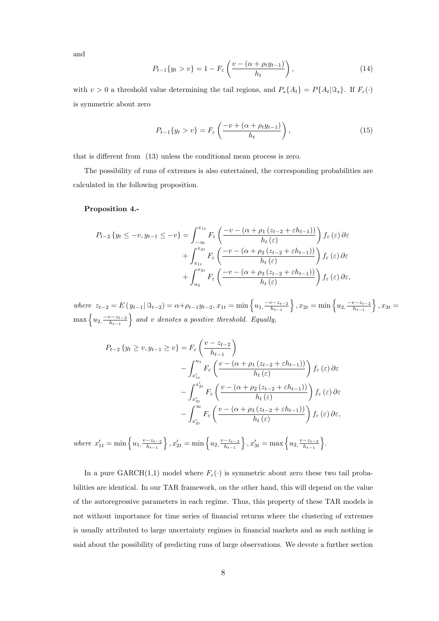and

$$
P_{t-1}\{y_t > v\} = 1 - F_{\varepsilon} \left( \frac{v - (\alpha + \rho_t y_{t-1})}{h_t} \right),
$$
\n(14)

with  $v > 0$  a threshold value determining the tail regions, and  $P_s\{A_t\} = P\{A_t | \Im_s\}$ . If  $F_\varepsilon(\cdot)$ is symmetric about zero

$$
P_{t-1}\{y_t > v\} = F_{\varepsilon}\left(\frac{-v + (\alpha + \rho_t y_{t-1})}{h_t}\right),\tag{15}
$$

that is different from (13) unless the conditional mean process is zero.

The possibility of runs of extremes is also entertained, the corresponding probabilities are calculated in the following proposition.

#### Proposition 4.-

$$
P_{t-2}\left\{y_t \leq -v, y_{t-1} \leq -v\right\} = \int_{-\infty}^{x_{1t}} F_{\varepsilon}\left(\frac{-v - \left(\alpha + \rho_1\left(z_{t-2} + \varepsilon h_{t-1}\right)\right)}{h_t(\varepsilon)}\right) f_{\varepsilon}\left(\varepsilon\right) \partial \varepsilon
$$

$$
+ \int_{x_{1t}}^{x_{2t}} F_{\varepsilon}\left(\frac{-v - \left(\alpha + \rho_2\left(z_{t-2} + \varepsilon h_{t-1}\right)\right)}{h_t(\varepsilon)}\right) f_{\varepsilon}\left(\varepsilon\right) \partial \varepsilon
$$

$$
+ \int_{u_2}^{x_{3t}} F_{\varepsilon}\left(\frac{-v - \left(\alpha + \rho_3\left(z_{t-2} + \varepsilon h_{t-1}\right)\right)}{h_t(\varepsilon)}\right) f_{\varepsilon}\left(\varepsilon\right) \partial \varepsilon,
$$

where  $z_{t-2} = E(y_{t-1} | \Im_{t-2}) = \alpha + \rho_{t-1} y_{t-2}, x_{1t} = \min \left\{ u_{1}, \frac{-v - z_{t-2}}{h_{t-1}} \right\}$  $h_{t-1}$  $\}, x_{2t} = \min\left\{u_2, \frac{-v-z_{t-2}}{h_1}\right\}$  $h_{t-1}$ o  $y_{t-1} | \Im_{t-2}$  =  $\alpha + \rho_{t-1} y_{t-2}$ ,  $x_{1t} = \min\left\{u_1, \frac{-v - z_{t-2}}{h_{t-1}}\right\}$ ,  $x_{2t} = \min\left\{u_2, \frac{-v - z_{t-2}}{h_{t-1}}\right\}$ ,  $x_{3t} =$  $\max\left\{u_2, \frac{-v-z_{t-2}}{h_{t-1}}\right\}$  $\frac{\partial h_{t-1}}{\partial h_{t-1}}$  and v denotes a positive threshold. Equally,

$$
P_{t-2} \{ y_t \ge v, y_{t-1} \ge v \} = F_{\varepsilon} \left( \frac{v - z_{t-2}}{h_{t-1}} \right)
$$
  

$$
- \int_{x'_{1t}}^{u_1} F_{\varepsilon} \left( \frac{v - (\alpha + \rho_1 (z_{t-2} + \varepsilon h_{t-1}))}{h_t(\varepsilon)} \right) f_{\varepsilon}(\varepsilon) \, d\varepsilon
$$
  

$$
- \int_{x'_{3t}}^{x'_{2t}} F_{\varepsilon} \left( \frac{v - (\alpha + \rho_2 (z_{t-2} + \varepsilon h_{t-1}))}{h_t(\varepsilon)} \right) f_{\varepsilon}(\varepsilon) \, d\varepsilon
$$
  

$$
- \int_{x'_{2t}}^{\infty} F_{\varepsilon} \left( \frac{v - (\alpha + \rho_3 (z_{t-2} + \varepsilon h_{t-1}))}{h_t(\varepsilon)} \right) f_{\varepsilon}(\varepsilon) \, d\varepsilon,
$$
  
where  $x'_{1t} = \min \{ u_1, \frac{v - z_{t-2}}{h_{t-1}} \}, x'_{2t} = \min \{ u_2, \frac{v - z_{t-2}}{h_{t-1}} \}, x'_{3t} = \max \{ u_2, \frac{v - z_{t-2}}{h_{t-1}} \}.$ 

In a pure GARCH(1,1) model where  $F_{\varepsilon}(\cdot)$  is symmetric about zero these two tail probabilities are identical. In our TAR framework, on the other hand, this will depend on the value of the autoregressive parameters in each regime. Thus, this property of these TAR models is not without importance for time series of financial returns where the clustering of extremes is usually attributed to large uncertainty regimes in financial markets and as such nothing is said about the possibility of predicting runs of large observations. We devote a further section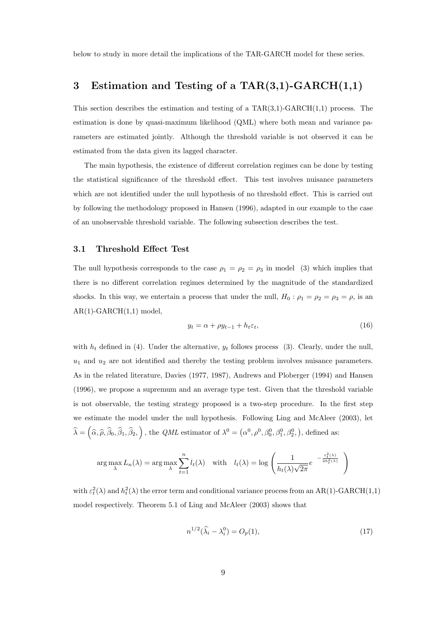below to study in more detail the implications of the TAR-GARCH model for these series.

## 3 Estimation and Testing of a  $\text{TAR}(3,1)$ -GARCH $(1,1)$

This section describes the estimation and testing of a  $TAR(3,1)$ -GARCH $(1,1)$  process. The estimation is done by quasi-maximum likelihood (QML) where both mean and variance parameters are estimated jointly. Although the threshold variable is not observed it can be estimated from the data given its lagged character.

The main hypothesis, the existence of different correlation regimes can be done by testing the statistical significance of the threshold effect. This test involves nuisance parameters which are not identified under the null hypothesis of no threshold effect. This is carried out by following the methodology proposed in Hansen (1996), adapted in our example to the case of an unobservable threshold variable. The following subsection describes the test.

#### 3.1 Threshold Effect Test

The null hypothesis corresponds to the case  $\rho_1 = \rho_2 = \rho_3$  in model (3) which implies that there is no different correlation regimes determined by the magnitude of the standardized shocks. In this way, we entertain a process that under the null,  $H_0: \rho_1 = \rho_2 = \rho_3 = \rho$ , is an  $AR(1)-GARCH(1,1) \text{ model},$ 

$$
y_t = \alpha + \rho y_{t-1} + h_t \varepsilon_t,\tag{16}
$$

with  $h_t$  defined in (4). Under the alternative,  $y_t$  follows process (3). Clearly, under the null,  $u_1$  and  $u_2$  are not identified and thereby the testing problem involves nuisance parameters. As in the related literature, Davies (1977, 1987), Andrews and Ploberger (1994) and Hansen (1996), we propose a supremum and an average type test. Given that the threshold variable is not observable, the testing strategy proposed is a two-step procedure. In the first step we estimate the model under the null hypothesis. Following Ling and McAleer (2003), let  $\widehat{\lambda} =$ ³  $\widehat{\alpha}, \widehat{\rho}, \widehat{\beta}_0, \widehat{\beta}_1, \widehat{\beta}_2,$ ´ , the *QML* estimator of  $\lambda^0 =$  (  $\alpha^0, \rho^0, \beta_0^0, \beta_1^0, \beta_2^0,$ ¢ , defined as:

$$
\arg \max_{\lambda} L_n(\lambda) = \arg \max_{\lambda} \sum_{t=1}^n l_t(\lambda) \quad \text{with} \quad l_t(\lambda) = \log \left( \frac{1}{h_t(\lambda)\sqrt{2\pi}} e^{-\frac{\varepsilon_t^2(\lambda)}{2h_t^2(\lambda)}} \right)
$$

with  $\varepsilon_t^2(\lambda)$  and  $h_t^2(\lambda)$  the error term and conditional variance process from an AR(1)-GARCH(1,1) model respectively. Theorem 5.1 of Ling and McAleer (2003) shows that

$$
n^{1/2}(\widehat{\lambda}_i - \lambda_i^0) = O_p(1),\tag{17}
$$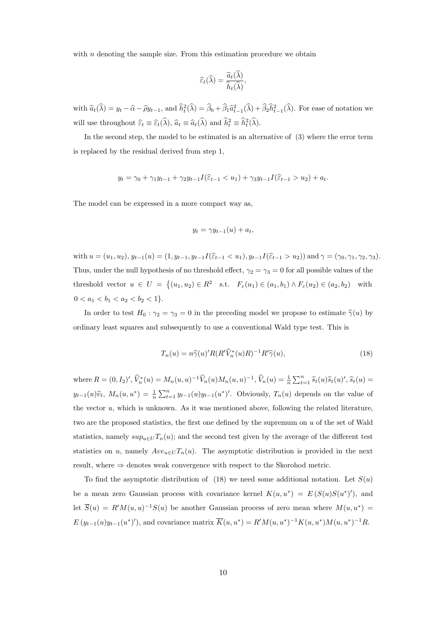with  $n$  denoting the sample size. From this estimation procedure we obtain

$$
\widehat{\varepsilon}_t(\widehat{\lambda}) = \frac{\widehat{a}_t(\widehat{\lambda})}{\widehat{h}_t(\widehat{\lambda})},
$$

with  $\hat{a}_t(\hat{\lambda}) = y_t - \hat{\alpha} - \hat{\rho}y_{t-1}$ , and  $\hat{h}_t^2(\hat{\lambda}) = \hat{\beta}_0 + \hat{\beta}_1 \hat{a}_{t-1}^2(\hat{\lambda}) + \hat{\beta}_2 \hat{h}_{t-1}^2(\hat{\lambda})$ . For ease of notation we will use throughout  $\widehat{\varepsilon}_t \equiv \widehat{\varepsilon}_t(\widehat{\lambda}), \widehat{a}_t \equiv \widehat{a}_t(\widehat{\lambda})$  and  $\widehat{h}_t^2 \equiv \widehat{h}_t^2(\widehat{\lambda})$ .

In the second step, the model to be estimated is an alternative of (3) where the error term is replaced by the residual derived from step 1,

$$
y_t = \gamma_0 + \gamma_1 y_{t-1} + \gamma_2 y_{t-1} I(\hat{\varepsilon}_{t-1} < u_1) + \gamma_3 y_{t-1} I(\hat{\varepsilon}_{t-1} > u_2) + a_t.
$$

The model can be expressed in a more compact way as,

$$
y_t = \gamma y_{t-1}(u) + a_t,
$$

with  $u = (u_1, u_2), y_{t-1}(u) = (1, y_{t-1}, y_{t-1})[\hat{\varepsilon}_{t-1} < u_1), y_{t-1}][\hat{\varepsilon}_{t-1} > u_2)]$  and  $\gamma = (\gamma_0, \gamma_1, \gamma_2, \gamma_3)$ . Thus, under the null hypothesis of no threshold effect,  $\gamma_2 = \gamma_3 = 0$  for all possible values of the threshold vector  $u \in U =$  $\{(u_1, u_2) \in R^2 \text{ s.t. } F_{\varepsilon}(u_1) \in (a_1, b_1) \wedge F_{\varepsilon}(u_2) \in (a_2, b_2) \text{ with }$  $0 < a_1 < b_1 < a_2 < b_2 < 1$ .

In order to test  $H_0 : \gamma_2 = \gamma_3 = 0$  in the preceding model we propose to estimate  $\hat{\gamma}(u)$  by ordinary least squares and subsequently to use a conventional Wald type test. This is

$$
T_n(u) = n\hat{\gamma}(u)'R(R'\hat{V}_n^*(u)R)^{-1}R'\hat{\gamma}(u),\tag{18}
$$

where  $R = (0, I_2)'$ ,  $\widehat{V}_n^*(u) = M_n(u, u)^{-1} \widehat{V}_n(u) M_n(u, u)^{-1}$ ,  $\widehat{V}_n(u) = \frac{1}{n}$  $\sum_{t=1}^{n} \widehat{s}_t(u)\widehat{s}_t(u)'$ ,  $\widehat{s}_t(u)$  =  $y_{t-1}(u)\hat{v}_t, M_n(u, u^*) = \frac{1}{n}$  $\sum_{t=1}^{n} y_{t-1}(u)y_{t-1}(u^*)'$ . Obviously,  $T_n(u)$  depends on the value of the vector u, which is unknown. As it was mentioned above, following the related literature, two are the proposed statistics, the first one defined by the supremum on  $u$  of the set of Wald statistics, namely  $sup_{u\in U}T_n(u)$ ; and the second test given by the average of the different test statistics on u, namely  $Ave_{u\in U}T_n(u)$ . The asymptotic distribution is provided in the next result, where  $\Rightarrow$  denotes weak convergence with respect to the Skorohod metric.

To find the asymptotic distribution of  $(18)$  we need some additional notation. Let  $S(u)$ be a mean zero Gaussian process with covariance kernel  $K(u, u^*) = E(S(u)S(u^*)')$ , and let  $\overline{S}(u) = R'M(u, u)^{-1}S(u)$  be another Gaussian process of zero mean where  $M(u, u^*) =$  $E(y_{t-1}(u)y_{t-1}(u^*))$ , and covariance matrix  $\overline{K}(u, u^*) = R'M(u, u^*)^{-1}K(u, u^*)M(u, u^*)^{-1}R$ .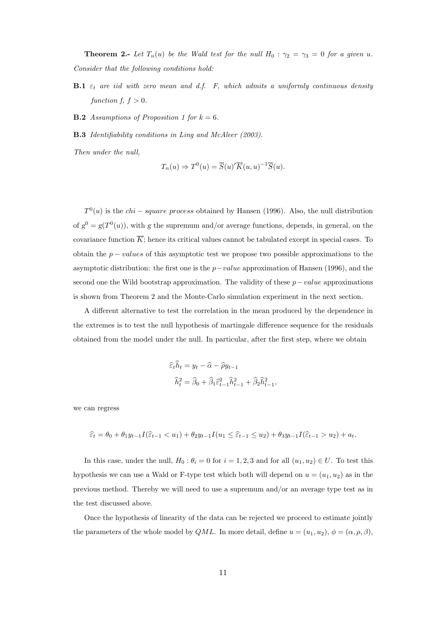**Theorem 2.-** Let  $T_n(u)$  be the Wald test for the null  $H_0$ :  $\gamma_2 = \gamma_3 = 0$  for a given u. Consider that the following conditions hold:

- **B.1**  $\varepsilon_t$  are iid with zero mean and d.f. F, which admits a uniformly continuous density function  $f, f > 0$ .
- **B.2** Assumptions of Proposition 1 for  $k = 6$ .
- B.3 Identifiability conditions in Ling and McAleer (2003).

Then under the null,

$$
T_n(u) \Rightarrow T^0(u) = \overline{S}(u)'\overline{K}(u,u)^{-1}\overline{S}(u).
$$

 $T^{0}(u)$  is the *chi – square process* obtained by Hansen (1996). Also, the null distribution of  $g^0 = g(T^0(u))$ , with g the supremum and/or average functions, depends, in general, on the covariance function  $\overline{K}$ ; hence its critical values cannot be tabulated except in special cases. To obtain the  $p - values$  of this asymptotic test we propose two possible approximations to the asymptotic distribution: the first one is the  $p-value$  approximation of Hansen (1996), and the second one the Wild bootstrap approximation. The validity of these  $p-value$  approximations is shown from Theorem 2 and the Monte-Carlo simulation experiment in the next section.

A different alternative to test the correlation in the mean produced by the dependence in the extremes is to test the null hypothesis of martingale difference sequence for the residuals obtained from the model under the null. In particular, after the first step, where we obtain

$$
\begin{aligned} \widehat{\varepsilon}_t \widehat{h}_t &= y_t - \widehat{\alpha} - \widehat{\rho} y_{t-1} \\ \widehat{h}_t^2 &= \widehat{\beta}_0 + \widehat{\beta}_1 \widehat{\varepsilon}_{t-1}^2 \widehat{h}_{t-1}^2 + \widehat{\beta}_2 \widehat{h}_{t-1}^2, \end{aligned}
$$

we can regress

$$
\hat{\varepsilon}_t = \theta_0 + \theta_1 y_{t-1} I(\hat{\varepsilon}_{t-1} < u_1) + \theta_2 y_{t-1} I(u_1 \leq \hat{\varepsilon}_{t-1} \leq u_2) + \theta_3 y_{t-1} I(\hat{\varepsilon}_{t-1} > u_2) + a_t.
$$

In this case, under the null,  $H_0: \theta_i = 0$  for  $i = 1, 2, 3$  and for all  $(u_1, u_2) \in U$ . To test this hypothesis we can use a Wald or F-type test which both will depend on  $u = (u_1, u_2)$  as in the previous method. Thereby we will need to use a supremum and/or an average type test as in the test discussed above.

Once the hypothesis of linearity of the data can be rejected we proceed to estimate jointly the parameters of the whole model by QML. In more detail, define  $u = (u_1, u_2), \phi = (\alpha, \rho, \beta)$ ,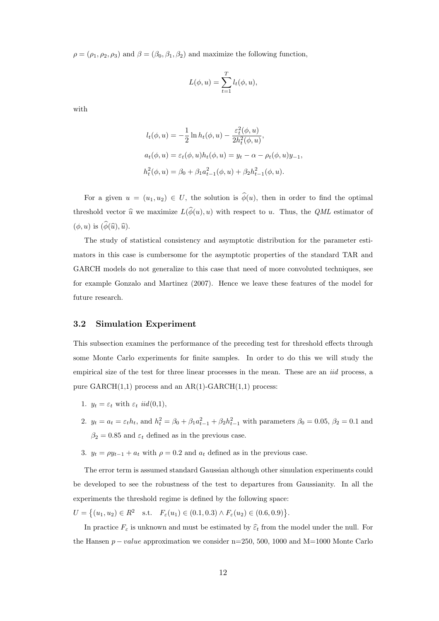$\rho = (\rho_1, \rho_2, \rho_3)$  and  $\beta = (\beta_0, \beta_1, \beta_2)$  and maximize the following function,

$$
L(\phi, u) = \sum_{t=1}^{T} l_t(\phi, u),
$$

with

$$
l_t(\phi, u) = -\frac{1}{2} \ln h_t(\phi, u) - \frac{\varepsilon_t^2(\phi, u)}{2h_t^2(\phi, u)},
$$
  
\n
$$
a_t(\phi, u) = \varepsilon_t(\phi, u)h_t(\phi, u) = y_t - \alpha - \rho_t(\phi, u)y_{-1},
$$
  
\n
$$
h_t^2(\phi, u) = \beta_0 + \beta_1 a_{t-1}^2(\phi, u) + \beta_2 h_{t-1}^2(\phi, u).
$$

For a given  $u = (u_1, u_2) \in U$ , the solution is  $\hat{\phi}(u)$ , then in order to find the optimal threshold vector  $\hat{u}$  we maximize  $L(\hat{\phi}(u), u)$  with respect to u. Thus, the *QML* estimator of  $(\phi, u)$  is  $(\widehat{\phi}(\widehat{u}), \widehat{u})$ .

The study of statistical consistency and asymptotic distribution for the parameter estimators in this case is cumbersome for the asymptotic properties of the standard TAR and GARCH models do not generalize to this case that need of more convoluted techniques, see for example Gonzalo and Martinez (2007). Hence we leave these features of the model for future research.

#### 3.2 Simulation Experiment

This subsection examines the performance of the preceding test for threshold effects through some Monte Carlo experiments for finite samples. In order to do this we will study the empirical size of the test for three linear processes in the mean. These are an *iid* process, a pure  $GARCH(1,1)$  process and an  $AR(1)-GARCH(1,1)$  process:

- 1.  $y_t = \varepsilon_t$  with  $\varepsilon_t$  iid(0,1),
- 2.  $y_t = a_t = \varepsilon_t h_t$ , and  $h_t^2 = \beta_0 + \beta_1 a_{t-1}^2 + \beta_2 h_{t-1}^2$  with parameters  $\beta_0 = 0.05$ ,  $\beta_2 = 0.1$  and  $\beta_2 = 0.85$  and  $\varepsilon_t$  defined as in the previous case.
- 3.  $y_t = \rho y_{t-1} + a_t$  with  $\rho = 0.2$  and  $a_t$  defined as in the previous case.

The error term is assumed standard Gaussian although other simulation experiments could be developed to see the robustness of the test to departures from Gaussianity. In all the experiments the threshold regime is defined by the following space:

 $U =$  $\{(u_1, u_2) \in R^2 \text{ s.t. } F_\varepsilon(u_1) \in (0.1, 0.3) \wedge F_\varepsilon(u_2) \in (0.6, 0.9)\}.$ 

In practice  $F_{\varepsilon}$  is unknown and must be estimated by  $\widehat{\varepsilon}_t$  from the model under the null. For the Hansen  $p - value$  approximation we consider n=250, 500, 1000 and M=1000 Monte Carlo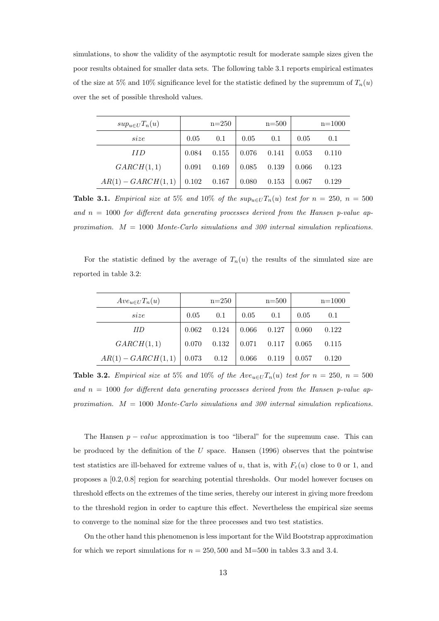simulations, to show the validity of the asymptotic result for moderate sample sizes given the poor results obtained for smaller data sets. The following table 3.1 reports empirical estimates of the size at 5% and 10% significance level for the statistic defined by the supremum of  $T_n(u)$ over the set of possible threshold values.

| $sup_{u\in U}T_n(u)$ |       | $n=250$ |       | $n = 500$ |       | $n = 1000$ |
|----------------------|-------|---------|-------|-----------|-------|------------|
| size                 | 0.05  | 0.1     | 0.05  | 0.1       | 0.05  | 0.1        |
| II D                 | 0.084 | 0.155   | 0.076 | 0.141     | 0.053 | 0.110      |
| GARCH(1,1)           | 0.091 | 0.169   | 0.085 | 0.139     | 0.066 | 0.123      |
| $AR(1) - GARCH(1,1)$ | 0.102 | 0.167   | 0.080 | 0.153     | 0.067 | 0.129      |

**Table 3.1.** Empirical size at 5% and 10% of the  $sup_{u\in U}T_n(u)$  test for  $n = 250$ ,  $n = 500$ and  $n = 1000$  for different data generating processes derived from the Hansen p-value approximation.  $M = 1000$  Monte-Carlo simulations and 300 internal simulation replications.

For the statistic defined by the average of  $T_n(u)$  the results of the simulated size are reported in table 3.2:

| $Ave_{u\in U}T_n(u)$ |       | $n=250$ |       | $n = 500$ |       | $n = 1000$ |
|----------------------|-------|---------|-------|-----------|-------|------------|
| size                 | 0.05  | 0.1     | 0.05  | 0.1       | 0.05  | 0.1        |
| ИD                   | 0.062 | 0.124   | 0.066 | 0.127     | 0.060 | 0.122      |
| GARCH(1,1)           | 0.070 | 0.132   | 0.071 | 0.117     | 0.065 | 0.115      |
| $AR(1) - GARCH(1,1)$ | 0.073 | 0.12    | 0.066 | 0.119     | 0.057 | 0.120      |

**Table 3.2.** Empirical size at 5% and 10% of the  $Ave_{u\in U}T_n(u)$  test for  $n = 250$ ,  $n = 500$ and  $n = 1000$  for different data generating processes derived from the Hansen p-value approximation.  $M = 1000$  Monte-Carlo simulations and 300 internal simulation replications.

The Hansen  $p - value$  approximation is too "liberal" for the supremum case. This can be produced by the definition of the  $U$  space. Hansen (1996) observes that the pointwise test statistics are ill-behaved for extreme values of u, that is, with  $F_{\varepsilon}(u)$  close to 0 or 1, and proposes a [0.2, 0.8] region for searching potential thresholds. Our model however focuses on threshold effects on the extremes of the time series, thereby our interest in giving more freedom to the threshold region in order to capture this effect. Nevertheless the empirical size seems to converge to the nominal size for the three processes and two test statistics.

On the other hand this phenomenon is less important for the Wild Bootstrap approximation for which we report simulations for  $n = 250, 500$  and M=500 in tables 3.3 and 3.4.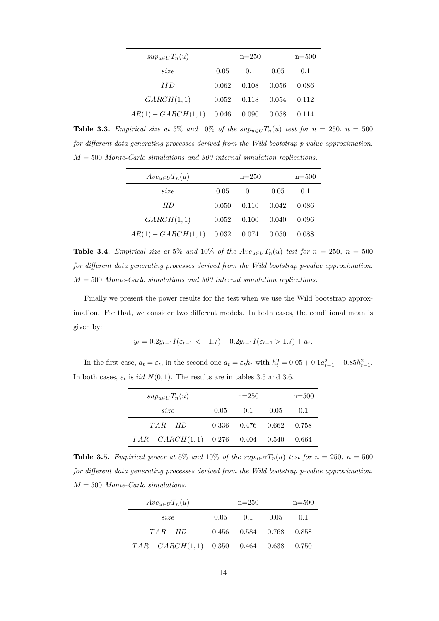| $sup_{u\in U}T_n(u)$ |       | $n=250$ |       | $n = 500$ |
|----------------------|-------|---------|-------|-----------|
| size                 | 0.05  | 0.1     | 0.05  | 0.1       |
| II D                 | 0.062 | 0.108   | 0.056 | 0.086     |
| GARCH(1,1)           | 0.052 | 0.118   | 0.054 | 0.112     |
| $AR(1) - GARCH(1,1)$ | 0.046 | 0.090   | 0.058 | 0.114     |

Table 3.3. Empirical size at 5% and 10% of the  $sup_{u\in U}T_n(u)$  test for  $n = 250$ ,  $n = 500$ for different data generating processes derived from the Wild bootstrap p-value approximation.  $M = 500$  Monte-Carlo simulations and 300 internal simulation replications.

| $Ave_{u\in U}T_n(u)$ |       | $n=250$ |       | $n = 500$ |
|----------------------|-------|---------|-------|-----------|
| size                 | 0.05  | 0.1     | 0.05  | 0.1       |
| <b>IID</b>           | 0.050 | 0.110   | 0.042 | 0.086     |
| GARCH(1,1)           | 0.052 | 0.100   | 0.040 | 0.096     |
| $AR(1) - GARCH(1,1)$ | 0.032 | 0.074   | 0.050 | 0.088     |

Table 3.4. Empirical size at 5% and 10% of the  $Ave_{u\in U}T_n(u)$  test for  $n = 250$ ,  $n = 500$ for different data generating processes derived from the Wild bootstrap p-value approximation.  $M = 500$  Monte-Carlo simulations and 300 internal simulation replications.

Finally we present the power results for the test when we use the Wild bootstrap approximation. For that, we consider two different models. In both cases, the conditional mean is given by:

$$
y_t = 0.2y_{t-1}I(\varepsilon_{t-1} < -1.7) - 0.2y_{t-1}I(\varepsilon_{t-1} > 1.7) + a_t.
$$

In the first case,  $a_t = \varepsilon_t$ , in the second one  $a_t = \varepsilon_t h_t$  with  $h_t^2 = 0.05 + 0.1a_{t-1}^2 + 0.85h_{t-1}^2$ . In both cases,  $\varepsilon_t$  is *iid*  $N(0, 1)$ . The results are in tables 3.5 and 3.6.

| $sup_{u\in U}T_n(u)$                 |      | $n=250$                         |      | $n = 500$ |
|--------------------------------------|------|---------------------------------|------|-----------|
| size                                 | 0.05 | 0.1                             | 0.05 | 0.1       |
| $TAR - IID$                          |      | $0.336$ $0.476$ $0.662$ $0.758$ |      |           |
| $TAR - GARCH(1,1)$ 0.276 0.404 0.540 |      |                                 |      | 0.664     |

**Table 3.5.** Empirical power at 5% and 10% of the  $sup_{u\in U}T_n(u)$  test for  $n = 250$ ,  $n = 500$ for different data generating processes derived from the Wild bootstrap p-value approximation.  $M = 500$  Monte-Carlo simulations.

| $Ave_{u\in U}T_n(u)$           |      | $n = 250$       |                           | $n = 500$     |
|--------------------------------|------|-----------------|---------------------------|---------------|
| size                           | 0.05 | 0.1             | 0.05                      | 0.1           |
| $TAR - IID$                    |      | $0.456$ $0.584$ |                           | $0.768$ 0.858 |
| $TAR - GARCH(1,1)$ 0.350 0.464 |      |                 | $\vert 0.638 \quad 0.750$ |               |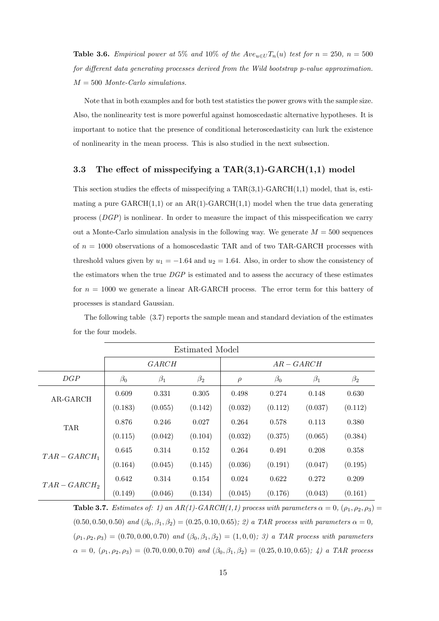**Table 3.6.** Empirical power at 5% and 10% of the  $Ave_{u\in U}T_n(u)$  test for  $n = 250$ ,  $n = 500$ for different data generating processes derived from the Wild bootstrap p-value approximation.  $M = 500$  Monte-Carlo simulations.

Note that in both examples and for both test statistics the power grows with the sample size. Also, the nonlinearity test is more powerful against homoscedastic alternative hypotheses. It is important to notice that the presence of conditional heteroscedasticity can lurk the existence of nonlinearity in the mean process. This is also studied in the next subsection.

#### 3.3 The effect of misspecifying a TAR $(3,1)$ -GARCH $(1,1)$  model

This section studies the effects of misspecifying a  $\text{TAR}(3,1)$ -GARCH $(1,1)$  model, that is, estimating a pure  $GARCH(1,1)$  or an  $AR(1)-GARCH(1,1)$  model when the true data generating process (DGP) is nonlinear. In order to measure the impact of this misspecification we carry out a Monte-Carlo simulation analysis in the following way. We generate  $M = 500$  sequences of  $n = 1000$  observations of a homoscedastic TAR and of two TAR-GARCH processes with threshold values given by  $u_1 = -1.64$  and  $u_2 = 1.64$ . Also, in order to show the consistency of the estimators when the true  $\hat{D}GP$  is estimated and to assess the accuracy of these estimates for  $n = 1000$  we generate a linear AR-GARCH process. The error term for this battery of processes is standard Gaussian.

The following table (3.7) reports the sample mean and standard deviation of the estimates for the four models.

| Estimated Model |           |           |           |            |           |           |           |
|-----------------|-----------|-----------|-----------|------------|-----------|-----------|-----------|
|                 |           | GARCH     |           | $AR-GARCH$ |           |           |           |
| DGP             | $\beta_0$ | $\beta_1$ | $\beta_2$ | $\rho$     | $\beta_0$ | $\beta_1$ | $\beta_2$ |
| AR-GARCH        | 0.609     | 0.331     | 0.305     | 0.498      | 0.274     | 0.148     | 0.630     |
|                 | (0.183)   | (0.055)   | (0.142)   | (0.032)    | (0.112)   | (0.037)   | (0.112)   |
| <b>TAR</b>      | 0.876     | 0.246     | 0.027     | 0.264      | 0.578     | 0.113     | 0.380     |
|                 | (0.115)   | (0.042)   | (0.104)   | (0.032)    | (0.375)   | (0.065)   | (0.384)   |
| $TAR - GARCH_1$ | 0.645     | 0.314     | 0.152     | 0.264      | 0.491     | 0.208     | 0.358     |
|                 | (0.164)   | (0.045)   | (0.145)   | (0.036)    | (0.191)   | (0.047)   | (0.195)   |
| $TAR - GARCH_2$ | 0.642     | 0.314     | 0.154     | 0.024      | 0.622     | 0.272     | 0.209     |
|                 | (0.149)   | (0.046)   | (0.134)   | (0.045)    | (0.176)   | (0.043)   | (0.161)   |

**Table 3.7.** Estimates of: 1) an AR(1)-GARCH(1,1) process with parameters  $\alpha = 0$ ,  $(\rho_1, \rho_2, \rho_3)$  =  $(0.50, 0.50, 0.50)$  and  $(\beta_0, \beta_1, \beta_2) = (0.25, 0.10, 0.65); 2)$  a TAR process with parameters  $\alpha = 0$ ,  $(\rho_1, \rho_2, \rho_3) = (0.70, 0.00, 0.70)$  and  $(\beta_0, \beta_1, \beta_2) = (1, 0, 0);$  3) a TAR process with parameters  $\alpha = 0, (\rho_1, \rho_2, \rho_3) = (0.70, 0.00, 0.70)$  and  $(\beta_0, \beta_1, \beta_2) = (0.25, 0.10, 0.65);$  4) a TAR process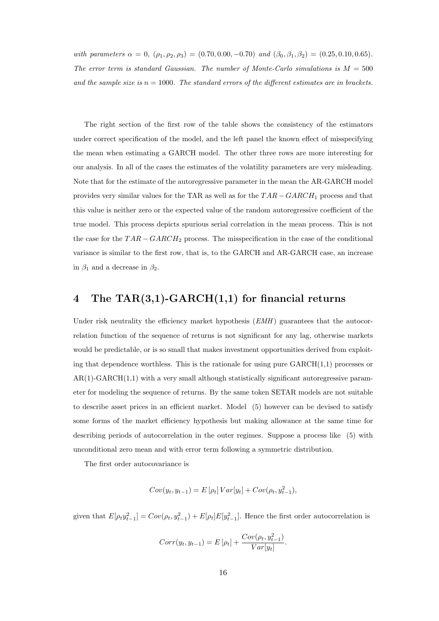with parameters  $\alpha = 0$ ,  $(\rho_1, \rho_2, \rho_3) = (0.70, 0.00, -0.70)$  and  $(\beta_0, \beta_1, \beta_2) = (0.25, 0.10, 0.65)$ . The error term is standard Gaussian. The number of Monte-Carlo simulations is  $M = 500$ and the sample size is  $n = 1000$ . The standard errors of the different estimates are in brackets.

The right section of the first row of the table shows the consistency of the estimators under correct specification of the model, and the left panel the known effect of misspecifying the mean when estimating a GARCH model. The other three rows are more interesting for our analysis. In all of the cases the estimates of the volatility parameters are very misleading. Note that for the estimate of the autoregressive parameter in the mean the AR-GARCH model provides very similar values for the TAR as well as for the  $TAR - GARCH_1$  process and that this value is neither zero or the expected value of the random autoregressive coefficient of the true model. This process depicts spurious serial correlation in the mean process. This is not the case for the  $TAR - GARCH_2$  process. The misspecification in the case of the conditional variance is similar to the first row, that is, to the GARCH and AR-GARCH case, an increase in  $\beta_1$  and a decrease in  $\beta_2$ .

## 4 The TAR(3,1)-GARCH(1,1) for financial returns

Under risk neutrality the efficiency market hypothesis  $(EMH)$  guarantees that the autocorrelation function of the sequence of returns is not significant for any lag, otherwise markets would be predictable, or is so small that makes investment opportunities derived from exploiting that dependence worthless. This is the rationale for using pure  $GARCH(1,1)$  processes or  $AR(1)-GARCH(1,1)$  with a very small although statistically significant autoregressive parameter for modeling the sequence of returns. By the same token SETAR models are not suitable to describe asset prices in an efficient market. Model (5) however can be devised to satisfy some forms of the market efficiency hypothesis but making allowance at the same time for describing periods of autocorrelation in the outer regimes. Suppose a process like (5) with unconditional zero mean and with error term following a symmetric distribution.

The first order autocovariance is

$$
Cov(y_t, y_{t-1}) = E[\rho_t] Var[y_t] + Cov(\rho_t, y_{t-1}^2),
$$

given that  $E[\rho_t y_{t-1}^2] = Cov(\rho_t, y_{t-1}^2) + E[\rho_t]E[y_{t-1}^2]$ . Hence the first order autocorrelation is

$$
Corr(y_t, y_{t-1}) = E\left[\rho_t\right] + \frac{Cov(\rho_t, y_{t-1}^2)}{Var[y_t]}.
$$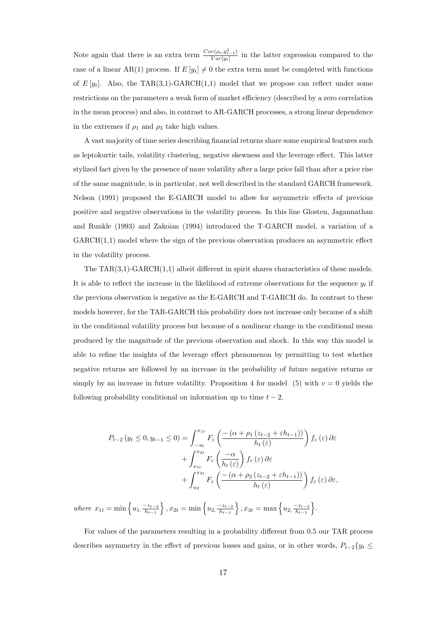Note again that there is an extra term  $\frac{Cov(\rho_t, y_{t-1}^2)}{Var[u_t]}$  $\frac{v(p_t, y_{t-1})}{Var[y_t]}$  in the latter expression compared to the case of a linear AR(1) process. If  $E[y_t] \neq 0$  the extra term must be completed with functions of  $E[y_t]$ . Also, the TAR(3,1)-GARCH(1,1) model that we propose can reflect under some restrictions on the parameters a weak form of market efficiency (described by a zero correlation in the mean process) and also, in contrast to AR-GARCH processes, a strong linear dependence in the extremes if  $\rho_1$  and  $\rho_3$  take high values.

A vast majority of time series describing financial returns share some empirical features such as leptokurtic tails, volatility clustering, negative skewness and the leverage effect. This latter stylized fact given by the presence of more volatility after a large price fall than after a price rise of the same magnitude, is in particular, not well described in the standard GARCH framework. Nelson (1991) proposed the E-GARCH model to allow for asymmetric effects of previous positive and negative observations in the volatility process. In this line Glosten, Jagannathan and Runkle (1993) and Zakoian (1994) introduced the T-GARCH model, a variation of a GARCH(1,1) model where the sign of the previous observation produces an asymmetric effect in the volatility process.

The  $TAR(3,1)$ -GARCH $(1,1)$  albeit different in spirit shares characteristics of these models. It is able to reflect the increase in the likelihood of extreme observations for the sequence  $y_t$  if the previous observation is negative as the E-GARCH and T-GARCH do. In contrast to these models however, for the TAR-GARCH this probability does not increase only because of a shift in the conditional volatility process but because of a nonlinear change in the conditional mean produced by the magnitude of the previous observation and shock. In this way this model is able to refine the insights of the leverage effect phenomenon by permitting to test whether negative returns are followed by an increase in the probability of future negative returns or simply by an increase in future volatility. Proposition 4 for model (5) with  $v = 0$  yields the following probability conditional on information up to time  $t - 2$ .

$$
P_{t-2}(y_t \le 0, y_{t-1} \le 0) = \int_{-\infty}^{x_{1t}} F_{\varepsilon} \left( \frac{-\left(\alpha + \rho_1 \left(z_{t-2} + \varepsilon h_{t-1}\right)\right)}{h_t(\varepsilon)} \right) f_{\varepsilon}(\varepsilon) \, \partial \varepsilon
$$

$$
+ \int_{x_{1t}}^{x_{2t}} F_{\varepsilon} \left( \frac{-\alpha}{h_t(\varepsilon)} \right) f_{\varepsilon}(\varepsilon) \, \partial \varepsilon
$$

$$
+ \int_{u_2}^{x_{3t}} F_{\varepsilon} \left( \frac{-\left(\alpha + \rho_3 \left(z_{t-2} + \varepsilon h_{t-1}\right)\right)}{h_t(\varepsilon)} \right) f_{\varepsilon}(\varepsilon) \, \partial \varepsilon,
$$

where  $x_{1t} = \min \left\{ u_1, \frac{-z_{t-2}}{h_{t-1}} \right\}$  $\left\{\frac{-z_{t-2}}{h_{t-1}}\right\}, x_{2t} = \min\left\{u_2, \frac{-z_{t-2}}{h_{t-1}}\right\}$  $\left\{\frac{-z_{t-2}}{h_{t-1}}\right\}, x_{3t} = \max\left\{u_2, \frac{-z_{t-2}}{h_{t-1}}\right\}$  $\frac{-z_{t-2}}{h_{t-1}}\Big\}.$ 

For values of the parameters resulting in a probability different from 0.5 our TAR process describes asymmetry in the effect of previous losses and gains, or in other words,  $P_{t-2}\lbrace y_t \leq \mathcal{L} \rbrace$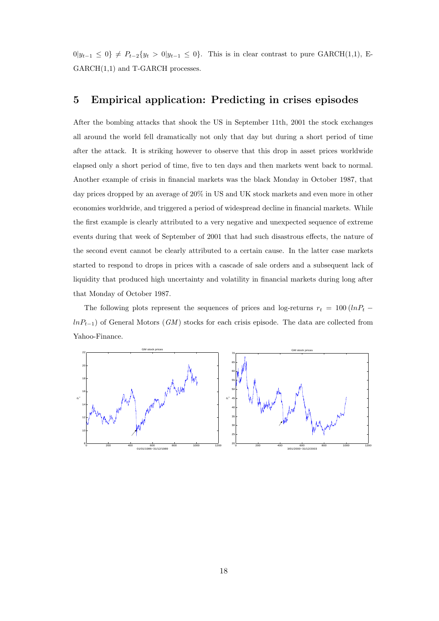$0|y_{t-1} \leq 0$   $\neq P_{t-2}{y_t > 0|y_{t-1} \leq 0}$ . This is in clear contrast to pure GARCH(1,1), E-GARCH $(1,1)$  and T-GARCH processes.

#### 5 Empirical application: Predicting in crises episodes

After the bombing attacks that shook the US in September 11th, 2001 the stock exchanges all around the world fell dramatically not only that day but during a short period of time after the attack. It is striking however to observe that this drop in asset prices worldwide elapsed only a short period of time, five to ten days and then markets went back to normal. Another example of crisis in financial markets was the black Monday in October 1987, that day prices dropped by an average of 20% in US and UK stock markets and even more in other economies worldwide, and triggered a period of widespread decline in financial markets. While the first example is clearly attributed to a very negative and unexpected sequence of extreme events during that week of September of 2001 that had such disastrous effects, the nature of the second event cannot be clearly attributed to a certain cause. In the latter case markets started to respond to drops in prices with a cascade of sale orders and a subsequent lack of liquidity that produced high uncertainty and volatility in financial markets during long after that Monday of October 1987.

The following plots represent the sequences of prices and log-returns  $r_t = 100 (lnP_t$  $lnP_{t-1}$ ) of General Motors (GM) stocks for each crisis episode. The data are collected from Yahoo-Finance.

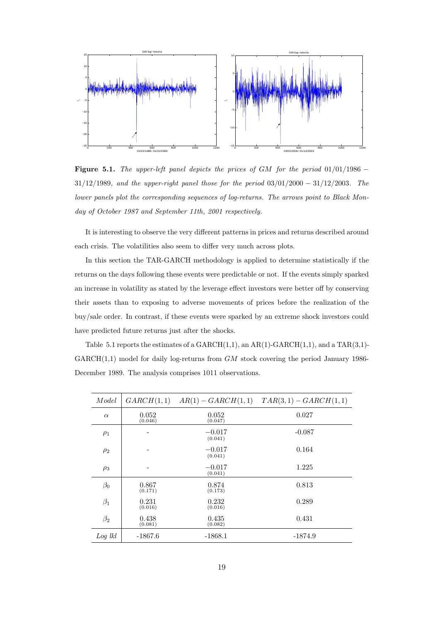

Figure 5.1. The upper-left panel depicts the prices of GM for the period  $01/01/1986 -$ 31/12/1989, and the upper-right panel those for the period 03/01/2000 − 31/12/2003. The lower panels plot the corresponding sequences of log-returns. The arrows point to Black Monday of October 1987 and September 11th, 2001 respectively.

It is interesting to observe the very different patterns in prices and returns described around each crisis. The volatilities also seem to differ very much across plots.

In this section the TAR-GARCH methodology is applied to determine statistically if the returns on the days following these events were predictable or not. If the events simply sparked an increase in volatility as stated by the leverage effect investors were better off by conserving their assets than to exposing to adverse movements of prices before the realization of the buy/sale order. In contrast, if these events were sparked by an extreme shock investors could have predicted future returns just after the shocks.

Table 5.1 reports the estimates of a  $GARCH(1,1)$ , an  $AR(1)-GARCH(1,1)$ , and a  $TAR(3,1) GARCH(1,1)$  model for daily log-returns from  $GM$  stock covering the period January 1986-December 1989. The analysis comprises 1011 observations.

| Model     | GARCH(1,1)       | $AR(1) - GARCH(1,1)$ | $TAR(3,1) - GARCH(1,1)$ |
|-----------|------------------|----------------------|-------------------------|
| $\alpha$  | 0.052<br>(0.046) | 0.052<br>(0.047)     | 0.027                   |
| $\rho_1$  |                  | $-0.017$<br>(0.041)  | $-0.087$                |
| $\rho_2$  |                  | $-0.017$<br>(0.041)  | 0.164                   |
| $\rho_3$  | -                | $-0.017$<br>(0.041)  | 1.225                   |
| $\beta_0$ | 0.867<br>(0.171) | 0.874<br>(0.173)     | 0.813                   |
| $\beta_1$ | 0.231<br>(0.016) | 0.232<br>(0.016)     | 0.289                   |
| $\beta_2$ | 0.438<br>(0.081) | 0.435<br>(0.082)     | 0.431                   |
| $Log$ lkl | $-1867.6$        | $-1868.1$            | $-1874.9$               |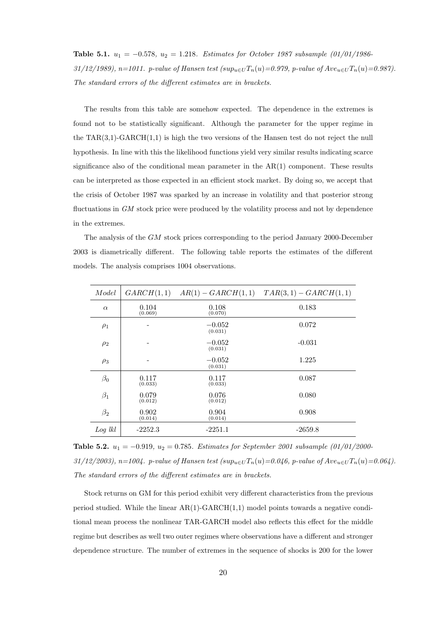Table 5.1.  $u_1 = -0.578$ ,  $u_2 = 1.218$ . Estimates for October 1987 subsample (01/01/1986-31/12/1989), n=1011. p-value of Hansen test  $(sup_{u\in U}T_n(u)=0.979$ , p-value of  $Ave_{u\in U}T_n(u)=0.987$ . The standard errors of the different estimates are in brackets.

The results from this table are somehow expected. The dependence in the extremes is found not to be statistically significant. Although the parameter for the upper regime in the TAR $(3,1)$ -GARCH $(1,1)$  is high the two versions of the Hansen test do not reject the null hypothesis. In line with this the likelihood functions yield very similar results indicating scarce significance also of the conditional mean parameter in the  $AR(1)$  component. These results can be interpreted as those expected in an efficient stock market. By doing so, we accept that the crisis of October 1987 was sparked by an increase in volatility and that posterior strong fluctuations in GM stock price were produced by the volatility process and not by dependence in the extremes.

The analysis of the GM stock prices corresponding to the period January 2000-December 2003 is diametrically different. The following table reports the estimates of the different models. The analysis comprises 1004 observations.

| Model     | GARCH(1,1)       | $AR(1) - GARCH(1,1)$ | $TAR(3,1) - GARCH(1,1)$ |
|-----------|------------------|----------------------|-------------------------|
| $\alpha$  | 0.104<br>(0.069) | 0.108<br>(0.070)     | 0.183                   |
| $\rho_1$  |                  | $-0.052$<br>(0.031)  | 0.072                   |
| $\rho_2$  | $\overline{a}$   | $-0.052$<br>(0.031)  | $-0.031$                |
| $\rho_3$  |                  | $-0.052$<br>(0.031)  | 1.225                   |
| $\beta_0$ | 0.117<br>(0.033) | 0.117<br>(0.033)     | 0.087                   |
| $\beta_1$ | 0.079<br>(0.012) | 0.076<br>(0.012)     | 0.080                   |
| $\beta_2$ | 0.902<br>(0.014) | 0.904<br>(0.014)     | 0.908                   |
| $Log$ lkl | $-2252.3$        | $-2251.1$            | $-2659.8$               |

Table 5.2.  $u_1 = -0.919$ ,  $u_2 = 0.785$ . Estimates for September 2001 subsample  $(01/01/2000$ -31/12/2003), n=1004. p-value of Hansen test  $(sup_{u\in U}T_n(u)=0.046$ , p-value of  $Ave_{u\in U}T_n(u)=0.064$ . The standard errors of the different estimates are in brackets.

Stock returns on GM for this period exhibit very different characteristics from the previous period studied. While the linear  $AR(1)-GARCH(1,1)$  model points towards a negative conditional mean process the nonlinear TAR-GARCH model also reflects this effect for the middle regime but describes as well two outer regimes where observations have a different and stronger dependence structure. The number of extremes in the sequence of shocks is 200 for the lower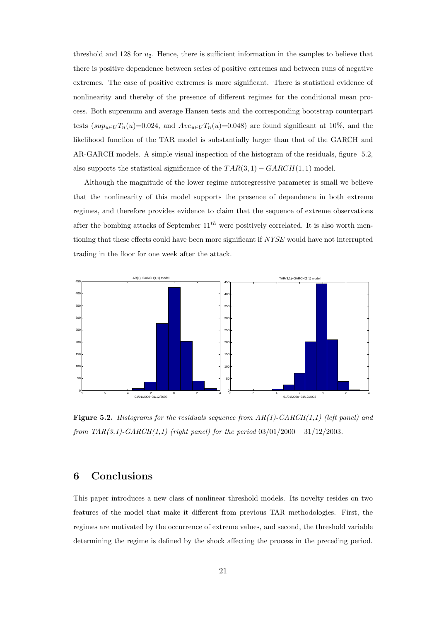threshold and 128 for  $u_2$ . Hence, there is sufficient information in the samples to believe that there is positive dependence between series of positive extremes and between runs of negative extremes. The case of positive extremes is more significant. There is statistical evidence of nonlinearity and thereby of the presence of different regimes for the conditional mean process. Both supremum and average Hansen tests and the corresponding bootstrap counterpart tests  $(sup_{u\in U}T_n(u)=0.024$ , and  $Ave_{u\in U}T_n(u)=0.048$ ) are found significant at 10%, and the likelihood function of the TAR model is substantially larger than that of the GARCH and AR-GARCH models. A simple visual inspection of the histogram of the residuals, figure 5.2, also supports the statistical significance of the  $TAR(3, 1) - GARCH(1, 1)$  model.

Although the magnitude of the lower regime autoregressive parameter is small we believe that the nonlinearity of this model supports the presence of dependence in both extreme regimes, and therefore provides evidence to claim that the sequence of extreme observations after the bombing attacks of September  $11^{th}$  were positively correlated. It is also worth mentioning that these effects could have been more significant if NYSE would have not interrupted trading in the floor for one week after the attack.



**Figure 5.2.** Histograms for the residuals sequence from  $AR(1)$ -GARCH(1,1) (left panel) and from  $TAR(3,1)$ -GARCH(1,1) (right panel) for the period  $03/01/2000 - 31/12/2003$ .

### 6 Conclusions

This paper introduces a new class of nonlinear threshold models. Its novelty resides on two features of the model that make it different from previous TAR methodologies. First, the regimes are motivated by the occurrence of extreme values, and second, the threshold variable determining the regime is defined by the shock affecting the process in the preceding period.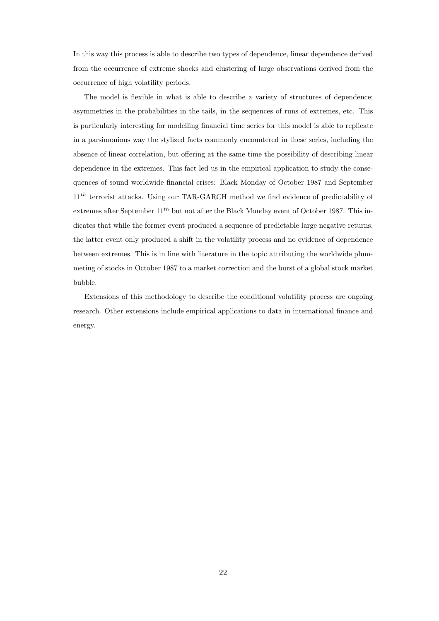In this way this process is able to describe two types of dependence, linear dependence derived from the occurrence of extreme shocks and clustering of large observations derived from the occurrence of high volatility periods.

The model is flexible in what is able to describe a variety of structures of dependence; asymmetries in the probabilities in the tails, in the sequences of runs of extremes, etc. This is particularly interesting for modelling financial time series for this model is able to replicate in a parsimonious way the stylized facts commonly encountered in these series, including the absence of linear correlation, but offering at the same time the possibility of describing linear dependence in the extremes. This fact led us in the empirical application to study the consequences of sound worldwide financial crises: Black Monday of October 1987 and September 1<sup>th</sup> terrorist attacks. Using our TAR-GARCH method we find evidence of predictability of extremes after September  $11^{th}$  but not after the Black Monday event of October 1987. This indicates that while the former event produced a sequence of predictable large negative returns, the latter event only produced a shift in the volatility process and no evidence of dependence between extremes. This is in line with literature in the topic attributing the worldwide plummeting of stocks in October 1987 to a market correction and the burst of a global stock market bubble.

Extensions of this methodology to describe the conditional volatility process are ongoing research. Other extensions include empirical applications to data in international finance and energy.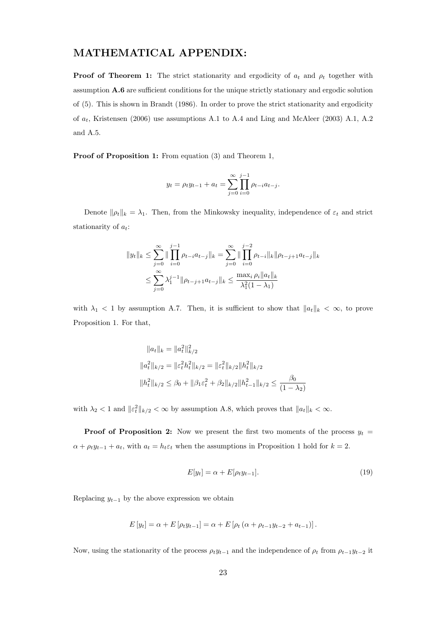## MATHEMATICAL APPENDIX:

**Proof of Theorem 1:** The strict stationarity and ergodicity of  $a_t$  and  $\rho_t$  together with assumption A.6 are sufficient conditions for the unique strictly stationary and ergodic solution of (5). This is shown in Brandt (1986). In order to prove the strict stationarity and ergodicity of  $a_t$ , Kristensen (2006) use assumptions A.1 to A.4 and Ling and McAleer (2003) A.1, A.2 and A.5.

Proof of Proposition 1: From equation (3) and Theorem 1,

$$
y_t = \rho_t y_{t-1} + a_t = \sum_{j=0}^{\infty} \prod_{i=0}^{j-1} \rho_{t-i} a_{t-j}.
$$

Denote  $\|\rho_t\|_k = \lambda_1$ . Then, from the Minkowsky inequality, independence of  $\varepsilon_t$  and strict stationarity of  $a_t$ :

$$
||y_t||_k \le \sum_{j=0}^{\infty} ||\prod_{i=0}^{j-1} \rho_{t-i} a_{t-j}||_k = \sum_{j=0}^{\infty} ||\prod_{i=0}^{j-2} \rho_{t-i}||_k ||\rho_{t-j+1} a_{t-j}||_k
$$
  

$$
\le \sum_{j=0}^{\infty} \lambda_1^{j-1} ||\rho_{t-j+1} a_{t-j}||_k \le \frac{\max_i \rho_i ||a_t||_k}{\lambda_1^2 (1 - \lambda_1)}
$$

with  $\lambda_1$  < 1 by assumption A.7. Then, it is sufficient to show that  $||a_t||_k < \infty$ , to prove Proposition 1. For that,

$$
||a_t||_k = ||a_t^2||_{k/2}^2
$$
  
\n
$$
||a_t^2||_{k/2} = ||\varepsilon_t^2 h_t^2||_{k/2} = ||\varepsilon_t^2||_{k/2}||h_t^2||_{k/2}
$$
  
\n
$$
||h_t^2||_{k/2} \le \beta_0 + ||\beta_1 \varepsilon_t^2 + \beta_2||_{k/2}||h_{t-1}^2||_{k/2} \le \frac{\beta_0}{(1 - \lambda_2)}
$$

with  $\lambda_2 < 1$  and  $||\varepsilon_t^2||_{k/2} < \infty$  by assumption A.8, which proves that  $||a_t||_k < \infty$ .

**Proof of Proposition 2:** Now we present the first two moments of the process  $y_t$  =  $\alpha + \rho_t y_{t-1} + a_t$ , with  $a_t = h_t \varepsilon_t$  when the assumptions in Proposition 1 hold for  $k = 2$ .

$$
E[y_t] = \alpha + E[\rho_t y_{t-1}]. \tag{19}
$$

Replacing  $y_{t-1}$  by the above expression we obtain

$$
E[y_t] = \alpha + E[\rho_t y_{t-1}] = \alpha + E[\rho_t (\alpha + \rho_{t-1} y_{t-2} + a_{t-1})].
$$

Now, using the stationarity of the process  $\rho_t y_{t-1}$  and the independence of  $\rho_t$  from  $\rho_{t-1} y_{t-2}$  it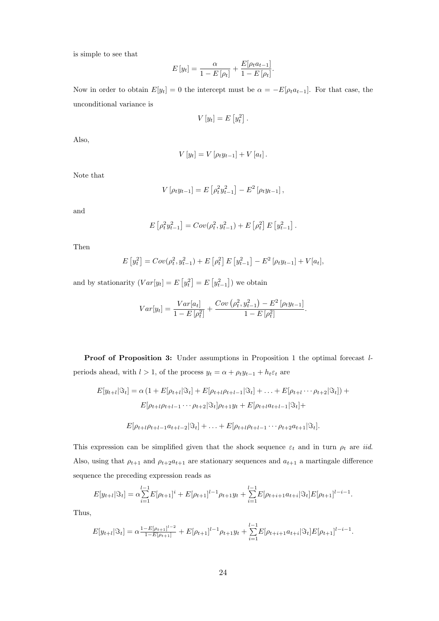is simple to see that

$$
E[y_t] = \frac{\alpha}{1 - E[\rho_t]} + \frac{E[\rho_t a_{t-1}]}{1 - E[\rho_t]}.
$$

Now in order to obtain  $E[y_t] = 0$  the intercept must be  $\alpha = -E[\rho_t a_{t-1}]$ . For that case, the unconditional variance is

$$
V[y_t] = E[y_t^2].
$$

Also,

$$
V[y_t] = V[\rho_t y_{t-1}] + V[a_t].
$$

Note that

$$
V[\rho_t y_{t-1}] = E[\rho_t^2 y_{t-1}^2] - E^2[\rho_t y_{t-1}],
$$

and

$$
E\left[\rho_t^2 y_{t-1}^2\right] = Cov(\rho_t^2, y_{t-1}^2) + E\left[\rho_t^2\right] E\left[y_{t-1}^2\right].
$$

Then

$$
E[y_t^2] = Cov(\rho_t^2, y_{t-1}^2) + E[\rho_t^2] E[y_{t-1}^2] - E^2[\rho_t y_{t-1}] + V[a_t],
$$

and by stationarity  $(Var[y_t] = E$ £  $y_t^2$ ¤  $=$  E £  $y_{t-1}^2$ ¤ ) we obtain

$$
Var[y_t] = \frac{Var[a_t]}{1 - E[\rho_t^2]} + \frac{Cov(\rho_t^2, y_{t-1}^2) - E^2[\rho_t y_{t-1}]}{1 - E[\rho_t^2]}.
$$

Proof of Proposition 3: Under assumptions in Proposition 1 the optimal forecast lperiods ahead, with  $l > 1$ , of the process  $y_t = \alpha + \rho_t y_{t-1} + h_t \varepsilon_t$  are

$$
E[y_{t+l}|\mathfrak{F}_t] = \alpha (1 + E[\rho_{t+l}|\mathfrak{F}_t] + E[\rho_{t+l}\rho_{t+l-1}|\mathfrak{F}_t] + \dots + E[\rho_{t+l} \cdots \rho_{t+2}|\mathfrak{F}_t]) +
$$
  

$$
E[\rho_{t+l}\rho_{t+l-1} \cdots \rho_{t+2}|\mathfrak{F}_t]\rho_{t+1}y_t + E[\rho_{t+l}a_{t+l-1}|\mathfrak{F}_t] +
$$
  

$$
E[\rho_{t+l}\rho_{t+l-1}a_{t+l-2}|\mathfrak{F}_t] + \dots + E[\rho_{t+l}\rho_{t+l-1} \cdots \rho_{t+2}a_{t+1}|\mathfrak{F}_t].
$$

This expression can be simplified given that the shock sequence  $\varepsilon_t$  and in turn  $\rho_t$  are *iid.* Also, using that  $\rho_{t+1}$  and  $\rho_{t+2}a_{t+1}$  are stationary sequences and  $a_{t+1}$  a martingale difference sequence the preceding expression reads as

$$
E[y_{t+1}|\Im_t] = \alpha \sum_{i=1}^{l-1} E[\rho_{t+1}]^i + E[\rho_{t+1}]^{l-1} \rho_{t+1} y_t + \sum_{i=1}^{l-1} E[\rho_{t+i+1} a_{t+i}|\Im_t] E[\rho_{t+1}]^{l-i-1}.
$$

Thus,

$$
E[y_{t+1}|\Im_t] = \alpha \frac{1 - E[\rho_{t+1}]^{l-2}}{1 - E[\rho_{t+1}]} + E[\rho_{t+1}]^{l-1} \rho_{t+1} y_t + \sum_{i=1}^{l-1} E[\rho_{t+i+1} a_{t+i}|\Im_t] E[\rho_{t+1}]^{l-i-1}.
$$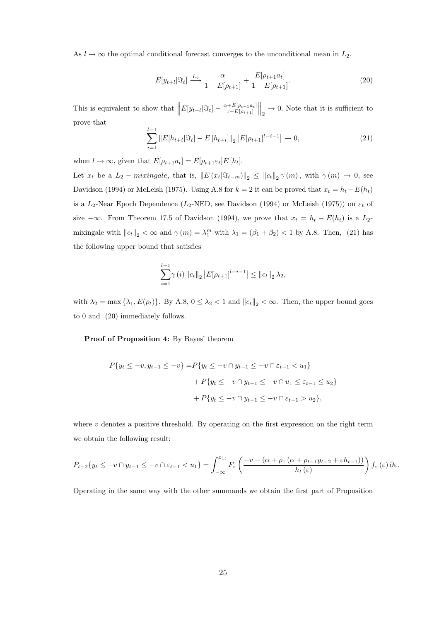As  $l \to \infty$  the optimal conditional forecast converges to the unconditional mean in  $L_2$ .

$$
E[y_{t+l}|\Im_t] \xrightarrow{L_2} \frac{\alpha}{1 - E[\rho_{t+1}]} + \frac{E[\rho_{t+1}a_t]}{1 - E[\rho_{t+1}]}.
$$
\n(20)

This is equivalent to show that  $||E[y_{t+l}|\Im_t] - \frac{\alpha + E[\rho_{t+1}a_t]}{1 - E[\rho_{t+1}]}$  $1-E[\rho_{t+1}]$  $\Big\|_2 \to 0$ . Note that it is sufficient to prove that

$$
\sum_{i=1}^{l-1} \|E[h_{t+i}|\Im_t] - E[h_{t+i}]\|_2 |E[\rho_{t+1}]^{l-i-1}| \to 0,
$$
\n(21)

when  $l \to \infty$ , given that  $E[\rho_{t+1}a_t] = E[\rho_{t+1} \varepsilon_t]E[h_t]$ .

Let  $x_t$  be a  $L_2$  – mixingale, that is,  $||E(x_t|\Im_{t-m})||_2 \leq ||c_t||_2 \gamma(m)$ , with  $\gamma(m) \to 0$ , see Davidson (1994) or McLeish (1975). Using A.8 for  $k = 2$  it can be proved that  $x_t = h_t - E(h_t)$ is a  $L_2$ -Near Epoch Dependence ( $L_2$ -NED, see Davidson (1994) or McLeish (1975)) on  $\varepsilon_t$  of size  $-\infty$ . From Theorem 17.5 of Davidson (1994), we prove that  $x_t = h_t - E(h_t)$  is a  $L_2$ mixingale with  $||c_t||_2 < \infty$  and  $\gamma(m) = \lambda_1^m$  with  $\lambda_1 = (\beta_1 + \beta_2) < 1$  by A.8. Then, (21) has the following upper bound that satisfies

$$
\sum_{i=1}^{l-1} \gamma(i) \|c_t\|_2 |E[\rho_{t+1}]^{l-i-1}| \leq \|c_t\|_2 \lambda_2,
$$

with  $\lambda_2 = \max{\{\lambda_1, E(\rho_t)\}}$ . By A.8,  $0 \leq \lambda_2 < 1$  and  $||c_t||_2 < \infty$ . Then, the upper bound goes to 0 and (20) immediately follows.

Proof of Proposition 4: By Bayes' theorem

$$
P\{y_t \le -v, y_{t-1} \le -v\} = P\{y_t \le -v \cap y_{t-1} \le -v \cap \varepsilon_{t-1} < u_1\}
$$

$$
+ P\{y_t \le -v \cap y_{t-1} \le -v \cap u_1 \le \varepsilon_{t-1} \le u_2\}
$$

$$
+ P\{y_t \le -v \cap y_{t-1} \le -v \cap \varepsilon_{t-1} > u_2\},
$$

where  $v$  denotes a positive threshold. By operating on the first expression on the right term we obtain the following result:

$$
P_{t-2}\{y_t \leq -v \cap y_{t-1} \leq -v \cap \varepsilon_{t-1} < u_1\} = \int_{-\infty}^{x_{1t}} F_{\varepsilon}\left(\frac{-v - (\alpha + \rho_1(\alpha + \rho_{t-1}y_{t-2} + \varepsilon h_{t-1}))}{h_t(\varepsilon)}\right) f_{\varepsilon}(\varepsilon) \, \partial \varepsilon.
$$

Operating in the same way with the other summands we obtain the first part of Proposition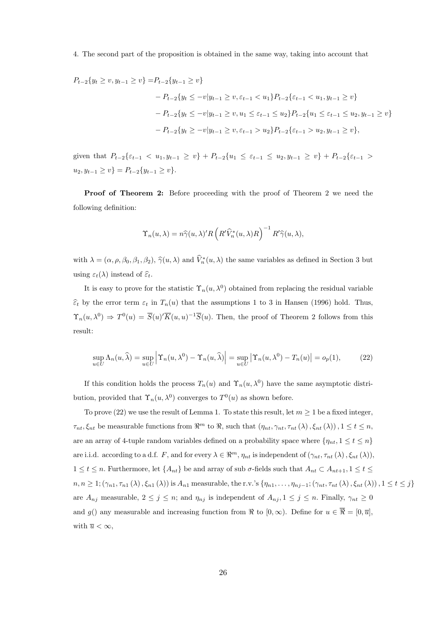#### 4. The second part of the proposition is obtained in the same way, taking into account that

$$
P_{t-2}\{y_t \ge v, y_{t-1} \ge v\} = P_{t-2}\{y_{t-1} \ge v\}
$$
  

$$
- P_{t-2}\{y_t \le -v|y_{t-1} \ge v, \varepsilon_{t-1} < u_1\} P_{t-2}\{\varepsilon_{t-1} < u_1, y_{t-1} \ge v\}
$$
  

$$
- P_{t-2}\{y_t \le -v|y_{t-1} \ge v, u_1 \le \varepsilon_{t-1} \le u_2\} P_{t-2}\{u_1 \le \varepsilon_{t-1} \le u_2, y_{t-1} \ge v\}
$$
  

$$
- P_{t-2}\{y_t \ge -v|y_{t-1} \ge v, \varepsilon_{t-1} > u_2\} P_{t-2}\{\varepsilon_{t-1} > u_2, y_{t-1} \ge v\},
$$

given that  $P_{t-2}\{\varepsilon_{t-1} < u_1, y_{t-1} \geq v\} + P_{t-2}\{u_1 \leq \varepsilon_{t-1} \leq u_2, y_{t-1} \geq v\} + P_{t-2}\{\varepsilon_{t-1} > v_1\}$  $u_2, y_{t-1} \geq v$ } =  $P_{t-2} \{y_{t-1} \geq v\}.$ 

Proof of Theorem 2: Before proceeding with the proof of Theorem 2 we need the following definition:

$$
\Upsilon_n(u,\lambda)=n\widehat{\gamma}(u,\lambda)'R\left(R'\widehat{V}_n^*(u,\lambda)R\right)^{-1}R'\widehat{\gamma}(u,\lambda),
$$

with  $\lambda = (\alpha, \rho, \beta_0, \beta_1, \beta_2), \hat{\gamma}(u, \lambda)$  and  $\hat{V}_n^*(u, \lambda)$  the same variables as defined in Section 3 but using  $\varepsilon_t(\lambda)$  instead of  $\widehat{\varepsilon}_t$ .

It is easy to prove for the statistic  $\Upsilon_n(u, \lambda^0)$  obtained from replacing the residual variable  $\hat{\epsilon}_t$  by the error term  $\epsilon_t$  in  $T_n(u)$  that the assumptions 1 to 3 in Hansen (1996) hold. Thus,  $\Upsilon_n(u,\lambda^0) \Rightarrow T^0(u) = \overline{S}(u)'\overline{K}(u,u)^{-1}\overline{S}(u)$ . Then, the proof of Theorem 2 follows from this result:

$$
\sup_{u \in U} \Lambda_n(u, \widehat{\lambda}) = \sup_{u \in U} \left| \Upsilon_n(u, \lambda^0) - \Upsilon_n(u, \widehat{\lambda}) \right| = \sup_{u \in U} \left| \Upsilon_n(u, \lambda^0) - T_n(u) \right| = o_p(1),\tag{22}
$$

If this condition holds the process  $T_n(u)$  and  $\Upsilon_n(u, \lambda^0)$  have the same asymptotic distribution, provided that  $\Upsilon_n(u, \lambda^0)$  converges to  $T^0(u)$  as shown before.

To prove (22) we use the result of Lemma 1. To state this result, let  $m \geq 1$  be a fixed integer,  $\tau_{nt}, \xi_{nt}$  be measurable functions from  $\mathbb{R}^m$  to  $\mathbb{R}$ , such that  $(\eta_{nt}, \gamma_{nt}, \tau_{nt}(\lambda), \xi_{nt}(\lambda)), 1 \le t \le n$ , are an array of 4-tuple random variables defined on a probability space where  $\{\eta_{nt}, 1 \le t \le n\}$ are i.i.d. according to a d.f. F, and for every  $\lambda \in \mathbb{R}^m$ ,  $\eta_{nt}$  is independent of  $(\gamma_{nt}, \tau_{nt} (\lambda), \xi_{nt} (\lambda)),$  $1 \le t \le n$ . Furthermore, let  $\{A_{nt}\}\$ be and array of sub  $\sigma$ -fields such that  $A_{nt} \subset A_{nt+1}$ ,  $1 \le t \le$  $n, n \geq 1$ ;  $(\gamma_{n1}, \tau_{n1}(\lambda), \xi_{n1}(\lambda))$  is  $A_{n1}$  measurable, the r.v.'s  $\{\eta_{n1}, \ldots, \eta_{nj-1}$ ;  $(\gamma_{nt}, \tau_{nt}(\lambda), \xi_{nt}(\lambda))$ ,  $1 \leq t \leq j\}$ are  $A_{nj}$  measurable,  $2 \le j \le n$ ; and  $\eta_{nj}$  is independent of  $A_{nj}$ ,  $1 \le j \le n$ . Finally,  $\gamma_{nt} \ge 0$ and g() any measurable and increasing function from  $\Re$  to  $[0, \infty)$ . Define for  $u \in \overline{\Re} = [0, \overline{u}]$ , with  $\overline{u} < \infty$ ,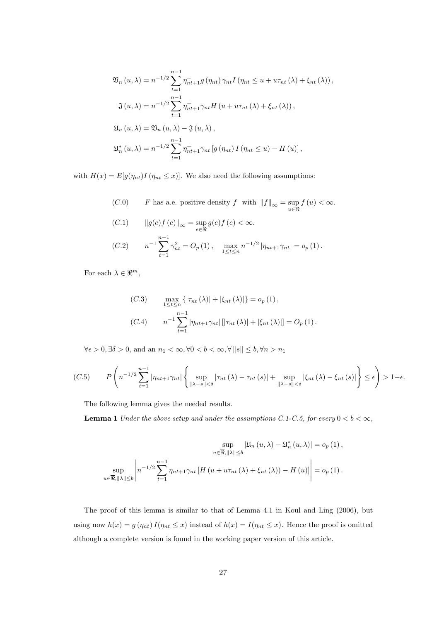$$
\mathfrak{V}_{n}(u,\lambda) = n^{-1/2} \sum_{t=1}^{n-1} \eta_{nt+1}^{+} g(\eta_{nt}) \gamma_{nt} I(\eta_{nt} \le u + u\tau_{nt}(\lambda) + \xi_{nt}(\lambda)),
$$
  

$$
\mathfrak{J}(u,\lambda) = n^{-1/2} \sum_{t=1}^{n-1} \eta_{nt+1}^{+} \gamma_{nt} H(u + u\tau_{nt}(\lambda) + \xi_{nt}(\lambda)),
$$
  

$$
\mathfrak{U}_{n}(u,\lambda) = \mathfrak{V}_{n}(u,\lambda) - \mathfrak{J}(u,\lambda),
$$
  

$$
\mathfrak{U}_{n}^{*}(u,\lambda) = n^{-1/2} \sum_{t=1}^{n-1} \eta_{nt+1}^{+} \gamma_{nt} [g(\eta_{nt}) I(\eta_{nt} \le u) - H(u)],
$$

with  $H(x) = E[g(\eta_{nt})I(\eta_{nt} \leq x)]$ . We also need the following assumptions:

(C.0) F has a.e. positive density f with  $||f||_{\infty} = \sup_{u \in \mathbb{R}} f(u) < \infty$ .

(C.1) 
$$
||g(e)f(e)||_{\infty} = \sup_{e \in \mathbb{R}} g(e)f(e) < \infty.
$$
  
(C.2) 
$$
n^{-1} \sum_{t=1}^{n-1} \gamma_{nt}^{2} = O_{p}(1), \quad \max_{1 \leq t \leq n} n^{-1/2} |\eta_{nt+1}\gamma_{nt}| = o_{p}(1).
$$

For each  $\lambda \in \mathbb{R}^m$ ,

(C.3) 
$$
\max_{1 \le t \le n} \{ |\tau_{nt}(\lambda)| + |\xi_{nt}(\lambda)| \} = o_p(1),
$$
  
(C.4) 
$$
n^{-1} \sum_{t=1}^{n-1} |\eta_{nt+1}\gamma_{nt}| [|\tau_{nt}(\lambda)| + |\xi_{nt}(\lambda)|] = O_p(1).
$$

 $\forall \epsilon > 0, \exists \delta > 0$ , and an  $n_1 < \infty, \forall 0 < b < \infty, \forall ||s|| \leq b, \forall n > n_1$ 

$$
(C.5) \qquad P\left(n^{-1/2}\sum_{t=1}^{n-1}|\eta_{nt+1}\gamma_{nt}|\left\{\sup_{\|\lambda-s\|<\delta}|\tau_{nt}\left(\lambda\right)-\tau_{nt}\left(s\right)\|+\sup_{\|\lambda-s\|<\delta}|\xi_{nt}\left(\lambda\right)-\xi_{nt}\left(s\right)\|\right\}\leq\epsilon\right)>1-\epsilon.
$$

The following lemma gives the needed results.

**Lemma 1** Under the above setup and under the assumptions C.1-C.5, for every  $0 < b < \infty$ ,

$$
\sup_{u \in \overline{\mathfrak{R}}, ||\lambda|| \le b} |\mathfrak{U}_n(u, \lambda) - \mathfrak{U}_n^*(u, \lambda)| = o_p(1),
$$
  

$$
\sup_{u \in \overline{\mathfrak{R}}, ||\lambda|| \le b} \left| n^{-1/2} \sum_{t=1}^{n-1} \eta_{nt+1} \gamma_{nt} \left[ H(u + u\tau_{nt}(\lambda) + \xi_{nt}(\lambda)) - H(u) \right] \right| = o_p(1).
$$

The proof of this lemma is similar to that of Lemma 4.1 in Koul and Ling (2006), but using now  $h(x) = g(\eta_{nt}) I(\eta_{nt} \leq x)$  instead of  $h(x) = I(\eta_{nt} \leq x)$ . Hence the proof is omitted although a complete version is found in the working paper version of this article.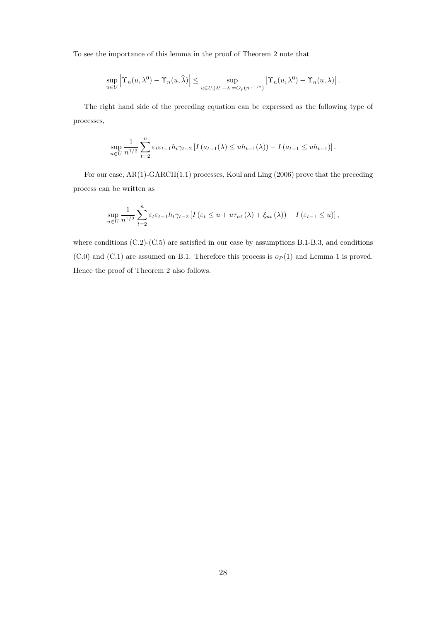To see the importance of this lemma in the proof of Theorem 2 note that

$$
\sup_{u\in U}\left|\Upsilon_n(u,\lambda^0)-\Upsilon_n(u,\widehat{\lambda})\right|\leq \sup_{u\in U,|\lambda^0-\lambda|=O_p(n^{-1/2})}\left|\Upsilon_n(u,\lambda^0)-\Upsilon_n(u,\lambda)\right|.
$$

The right hand side of the preceding equation can be expressed as the following type of processes,

$$
\sup_{u \in U} \frac{1}{n^{1/2}} \sum_{t=2}^{n} \varepsilon_t \varepsilon_{t-1} h_t \gamma_{t-2} \left[ I\left( a_{t-1}(\lambda) \leq uh_{t-1}(\lambda) \right) - I\left( a_{t-1} \leq uh_{t-1} \right) \right].
$$

For our case, AR(1)-GARCH(1,1) processes, Koul and Ling (2006) prove that the preceding process can be written as

$$
\sup_{u \in U} \frac{1}{n^{1/2}} \sum_{t=2}^{n} \varepsilon_t \varepsilon_{t-1} h_t \gamma_{t-2} \left[ I \left( \varepsilon_t \le u + u \tau_{nt} \left( \lambda \right) + \xi_{nt} \left( \lambda \right) \right) - I \left( \varepsilon_{t-1} \le u \right) \right],
$$

where conditions  $(C.2)$ - $(C.5)$  are satisfied in our case by assumptions B.1-B.3, and conditions  $(C.0)$  and  $(C.1)$  are assumed on B.1. Therefore this process is  $o_P(1)$  and Lemma 1 is proved. Hence the proof of Theorem 2 also follows.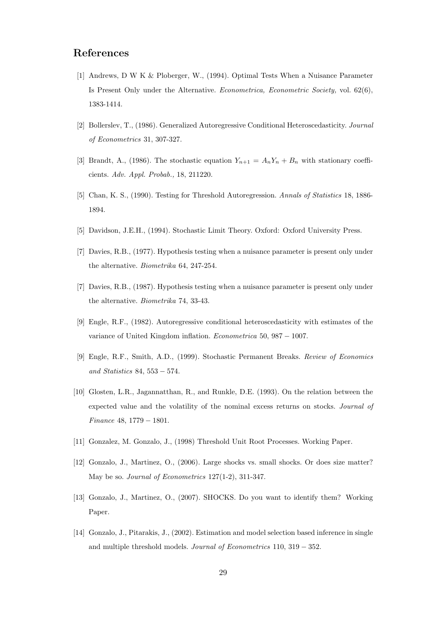## References

- [1] Andrews, D W K & Ploberger, W., (1994). Optimal Tests When a Nuisance Parameter Is Present Only under the Alternative. *Econometrica, Econometric Society*, vol.  $62(6)$ , 1383-1414.
- [2] Bollerslev, T., (1986). Generalized Autoregressive Conditional Heteroscedasticity. Journal of Econometrics 31, 307-327.
- [3] Brandt, A., (1986). The stochastic equation  $Y_{n+1} = A_n Y_n + B_n$  with stationary coefficients. Adv. Appl. Probab., 18, 211220.
- [5] Chan, K. S., (1990). Testing for Threshold Autoregression. Annals of Statistics 18, 1886- 1894.
- [5] Davidson, J.E.H., (1994). Stochastic Limit Theory. Oxford: Oxford University Press.
- [7] Davies, R.B., (1977). Hypothesis testing when a nuisance parameter is present only under the alternative. Biometrika 64, 247-254.
- [7] Davies, R.B., (1987). Hypothesis testing when a nuisance parameter is present only under the alternative. Biometrika 74, 33-43.
- [9] Engle, R.F., (1982). Autoregressive conditional heteroscedasticity with estimates of the variance of United Kingdom inflation. Econometrica 50, 987 − 1007.
- [9] Engle, R.F., Smith, A.D., (1999). Stochastic Permanent Breaks. Review of Economics and Statistics 84, 553 − 574.
- [10] Glosten, L.R., Jagannatthan, R., and Runkle, D.E. (1993). On the relation between the expected value and the volatility of the nominal excess returns on stocks. Journal of Finance 48, 1779 − 1801.
- [11] Gonzalez, M. Gonzalo, J., (1998) Threshold Unit Root Processes. Working Paper.
- [12] Gonzalo, J., Martinez, O., (2006). Large shocks vs. small shocks. Or does size matter? May be so. Journal of Econometrics 127(1-2), 311-347.
- [13] Gonzalo, J., Martinez, O., (2007). SHOCKS. Do you want to identify them? Working Paper.
- [14] Gonzalo, J., Pitarakis, J., (2002). Estimation and model selection based inference in single and multiple threshold models. Journal of Econometrics 110, 319 − 352.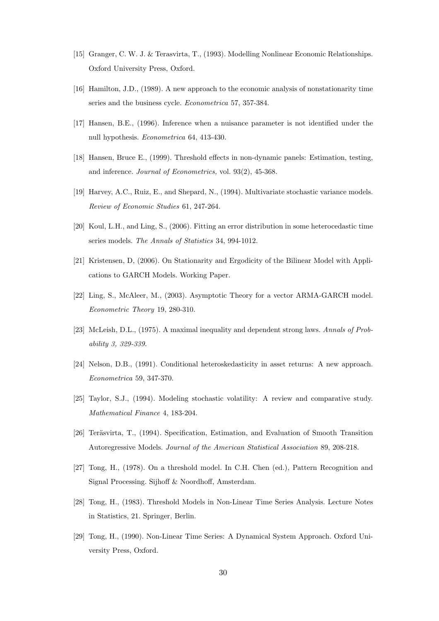- [15] Granger, C. W. J. & Terasvirta, T., (1993). Modelling Nonlinear Economic Relationships. Oxford University Press, Oxford.
- [16] Hamilton, J.D., (1989). A new approach to the economic analysis of nonstationarity time series and the business cycle. Econometrica 57, 357-384.
- [17] Hansen, B.E., (1996). Inference when a nuisance parameter is not identified under the null hypothesis. Econometrica 64, 413-430.
- [18] Hansen, Bruce E., (1999). Threshold effects in non-dynamic panels: Estimation, testing, and inference. Journal of Econometrics, vol. 93(2), 45-368.
- [19] Harvey, A.C., Ruiz, E., and Shepard, N., (1994). Multivariate stochastic variance models. Review of Economic Studies 61, 247-264.
- [20] Koul, L.H., and Ling, S., (2006). Fitting an error distribution in some heterocedastic time series models. The Annals of Statistics 34, 994-1012.
- [21] Kristensen, D, (2006). On Stationarity and Ergodicity of the Bilinear Model with Applications to GARCH Models. Working Paper.
- [22] Ling, S., McAleer, M., (2003). Asymptotic Theory for a vector ARMA-GARCH model. Econometric Theory 19, 280-310.
- [23] McLeish, D.L., (1975). A maximal inequality and dependent strong laws. Annals of Probability 3, 329-339.
- [24] Nelson, D.B., (1991). Conditional heteroskedasticity in asset returns: A new approach. Econometrica 59, 347-370.
- [25] Taylor, S.J., (1994). Modeling stochastic volatility: A review and comparative study. Mathematical Finance 4, 183-204.
- [26] Teräsvirta, T., (1994). Specification, Estimation, and Evaluation of Smooth Transition Autoregressive Models. Journal of the American Statistical Association 89, 208-218.
- [27] Tong, H., (1978). On a threshold model. In C.H. Chen (ed.), Pattern Recognition and Signal Processing. Sijhoff & Noordhoff, Amsterdam.
- [28] Tong, H., (1983). Threshold Models in Non-Linear Time Series Analysis. Lecture Notes in Statistics, 21. Springer, Berlin.
- [29] Tong, H., (1990). Non-Linear Time Series: A Dynamical System Approach. Oxford University Press, Oxford.